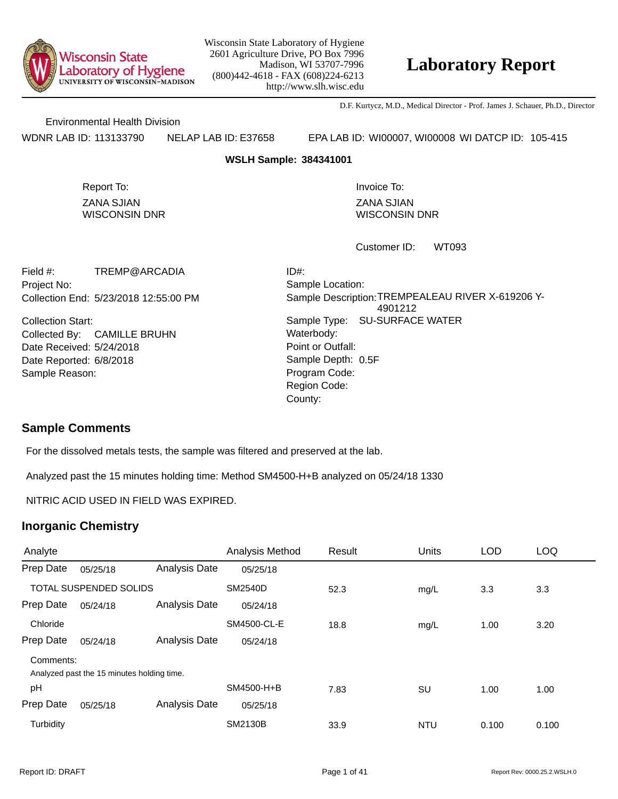

## **Laboratory Report**

D.F. Kurtycz, M.D., Medical Director - Prof. James J. Schauer, Ph.D., Director

Environmental Health Division

WDNR LAB ID: 113133790 NELAP LAB ID: E37658 EPA LAB ID: WI00007, WI00008 WI DATCP ID: 105-415

**WSLH Sample: 384341001**

ZANA SJIAN WISCONSIN DNR Report To: **Invoice To:** Invoice To:

ZANA SJIAN WISCONSIN DNR

WT093 Customer ID:

Collection End: 5/23/2018 12:55:00 PM Project No: Field #: TREMP@ARCADIA

Date Received: 5/24/2018 Date Reported: 6/8/2018 **Contact Solution** Sample Depth: Collection Start: Collected By: CAMILLE BRUHN Sample Reason:

Point or Outfall: County: Sample Type: SU-SURFACE WATER Sample Location: Sample Description: TREMPEALEAU RIVER X-619206 Y-4901212 ID#: Waterbody: Program Code: Region Code: Sample Depth: 0.5F

### **Sample Comments**

For the dissolved metals tests, the sample was filtered and preserved at the lab.

Analyzed past the 15 minutes holding time: Method SM4500-H+B analyzed on 05/24/18 1330

NITRIC ACID USED IN FIELD WAS EXPIRED.

| Analyte   |                                            |               | Analysis Method | Result | Units      | <b>LOD</b> | <b>LOQ</b> |
|-----------|--------------------------------------------|---------------|-----------------|--------|------------|------------|------------|
| Prep Date | 05/25/18                                   | Analysis Date | 05/25/18        |        |            |            |            |
|           | <b>TOTAL SUSPENDED SOLIDS</b>              |               | <b>SM2540D</b>  | 52.3   | mg/L       | 3.3        | 3.3        |
| Prep Date | 05/24/18                                   | Analysis Date | 05/24/18        |        |            |            |            |
| Chloride  |                                            |               | SM4500-CL-E     | 18.8   | mg/L       | 1.00       | 3.20       |
| Prep Date | 05/24/18                                   | Analysis Date | 05/24/18        |        |            |            |            |
| Comments: |                                            |               |                 |        |            |            |            |
|           | Analyzed past the 15 minutes holding time. |               |                 |        |            |            |            |
| pH        |                                            |               | SM4500-H+B      | 7.83   | SU         | 1.00       | 1.00       |
| Prep Date | 05/25/18                                   | Analysis Date | 05/25/18        |        |            |            |            |
| Turbidity |                                            |               | <b>SM2130B</b>  | 33.9   | <b>NTU</b> | 0.100      | 0.100      |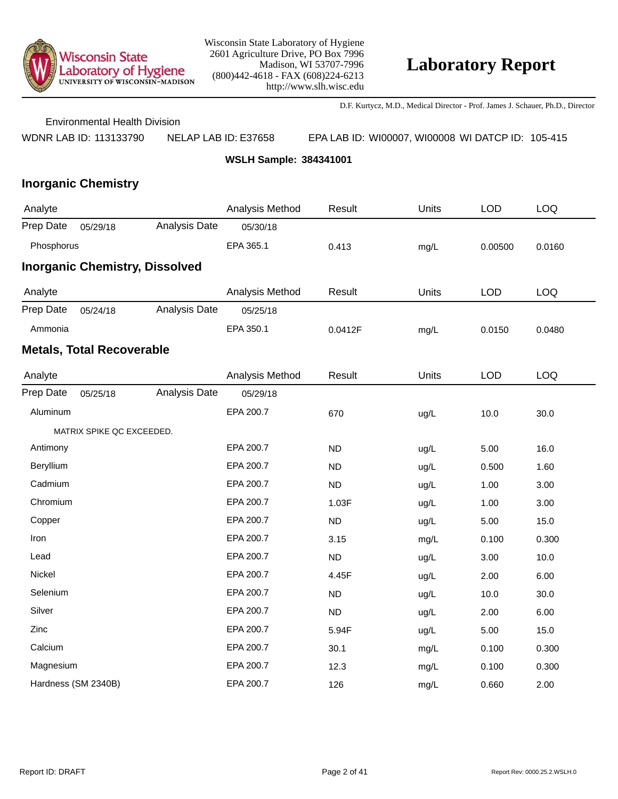

D.F. Kurtycz, M.D., Medical Director - Prof. James J. Schauer, Ph.D., Director

Environmental Health Division

WDNR LAB ID: 113133790 NELAP LAB ID: E37658 EPA LAB ID: WI00007, WI00008 WI DATCP ID: 105-415

**WSLH Sample: 384341001**

| Analyte                               |                                  |               | Analysis Method | Result    | Units | <b>LOD</b> | LOQ        |
|---------------------------------------|----------------------------------|---------------|-----------------|-----------|-------|------------|------------|
| Prep Date                             | 05/29/18                         | Analysis Date | 05/30/18        |           |       |            |            |
| Phosphorus                            |                                  |               | EPA 365.1       | 0.413     | mg/L  | 0.00500    | 0.0160     |
| <b>Inorganic Chemistry, Dissolved</b> |                                  |               |                 |           |       |            |            |
| Analyte                               |                                  |               | Analysis Method | Result    | Units | <b>LOD</b> | LOQ        |
| Prep Date                             | 05/24/18                         | Analysis Date | 05/25/18        |           |       |            |            |
| Ammonia                               |                                  |               | EPA 350.1       | 0.0412F   | mg/L  | 0.0150     | 0.0480     |
|                                       | <b>Metals, Total Recoverable</b> |               |                 |           |       |            |            |
| Analyte                               |                                  |               | Analysis Method | Result    | Units | <b>LOD</b> | <b>LOQ</b> |
| Prep Date                             | 05/25/18                         | Analysis Date | 05/29/18        |           |       |            |            |
| Aluminum                              |                                  |               | EPA 200.7       | 670       | ug/L  | 10.0       | 30.0       |
|                                       | MATRIX SPIKE QC EXCEEDED.        |               |                 |           |       |            |            |
| Antimony                              |                                  |               | EPA 200.7       | <b>ND</b> | ug/L  | 5.00       | 16.0       |
| Beryllium                             |                                  |               | EPA 200.7       | <b>ND</b> | ug/L  | 0.500      | 1.60       |
| Cadmium                               |                                  |               | EPA 200.7       | <b>ND</b> | ug/L  | 1.00       | 3.00       |
| Chromium                              |                                  |               | EPA 200.7       | 1.03F     | ug/L  | 1.00       | 3.00       |
| Copper                                |                                  |               | EPA 200.7       | <b>ND</b> | ug/L  | 5.00       | 15.0       |
| Iron                                  |                                  |               | EPA 200.7       | 3.15      | mg/L  | 0.100      | 0.300      |
| Lead                                  |                                  |               | EPA 200.7       | <b>ND</b> | ug/L  | 3.00       | 10.0       |
| Nickel                                |                                  |               | EPA 200.7       | 4.45F     | ug/L  | 2.00       | 6.00       |
| Selenium                              |                                  |               | EPA 200.7       | <b>ND</b> | ug/L  | 10.0       | 30.0       |
| Silver                                |                                  |               | EPA 200.7       | <b>ND</b> | ug/L  | 2.00       | 6.00       |
| Zinc                                  |                                  |               | EPA 200.7       | 5.94F     | ug/L  | 5.00       | 15.0       |
| Calcium                               |                                  |               | EPA 200.7       | 30.1      | mg/L  | 0.100      | 0.300      |
| Magnesium                             |                                  |               | EPA 200.7       | 12.3      | mg/L  | 0.100      | 0.300      |
|                                       | Hardness (SM 2340B)              |               | EPA 200.7       | 126       | mg/L  | 0.660      | 2.00       |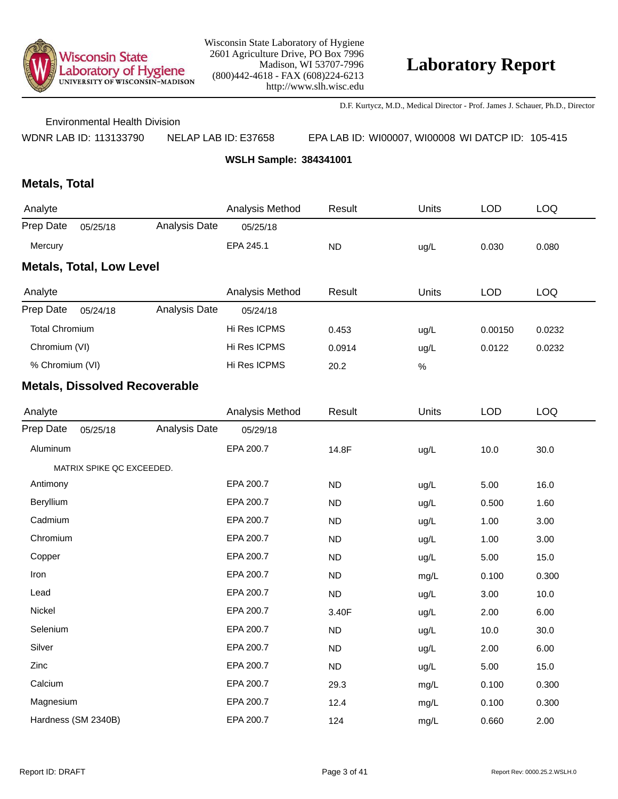

D.F. Kurtycz, M.D., Medical Director - Prof. James J. Schauer, Ph.D., Director

Environmental Health Division

WDNR LAB ID: 113133790 NELAP LAB ID: E37658 EPA LAB ID: WI00007, WI00008 WI DATCP ID: 105-415

**WSLH Sample: 384341001**

## **Metals, Total**

| Analyte                         |          |               | Analysis Method | Result    | Units | LOD   | LOQ   |  |  |
|---------------------------------|----------|---------------|-----------------|-----------|-------|-------|-------|--|--|
| Prep Date                       | 05/25/18 | Analysis Date | 05/25/18        |           |       |       |       |  |  |
| Mercury                         |          |               | EPA 245.1       | <b>ND</b> | ug/L  | 0.030 | 0.080 |  |  |
| <b>Metals, Total, Low Level</b> |          |               |                 |           |       |       |       |  |  |

| Analyte               |          |               | Analysis Method | Result | Units | LOD     | LOQ    |
|-----------------------|----------|---------------|-----------------|--------|-------|---------|--------|
| Prep Date             | 05/24/18 | Analysis Date | 05/24/18        |        |       |         |        |
| <b>Total Chromium</b> |          |               | Hi Res ICPMS    | 0.453  | ug/L  | 0.00150 | 0.0232 |
| Chromium (VI)         |          |               | Hi Res ICPMS    | 0.0914 | ug/L  | 0.0122  | 0.0232 |
| % Chromium (VI)       |          |               | Hi Res ICPMS    | 20.2   | %     |         |        |

| Analyte   |                           |               | Analysis Method | Result    | Units | <b>LOD</b> | <b>LOQ</b> |
|-----------|---------------------------|---------------|-----------------|-----------|-------|------------|------------|
| Prep Date | 05/25/18                  | Analysis Date | 05/29/18        |           |       |            |            |
| Aluminum  |                           |               | EPA 200.7       | 14.8F     | ug/L  | 10.0       | 30.0       |
|           | MATRIX SPIKE QC EXCEEDED. |               |                 |           |       |            |            |
| Antimony  |                           |               | EPA 200.7       | ND        | ug/L  | 5.00       | 16.0       |
| Beryllium |                           |               | EPA 200.7       | <b>ND</b> | ug/L  | 0.500      | 1.60       |
| Cadmium   |                           |               | EPA 200.7       | <b>ND</b> | ug/L  | 1.00       | 3.00       |
| Chromium  |                           |               | EPA 200.7       | <b>ND</b> | ug/L  | 1.00       | 3.00       |
| Copper    |                           |               | EPA 200.7       | <b>ND</b> | ug/L  | 5.00       | 15.0       |
| Iron      |                           |               | EPA 200.7       | <b>ND</b> | mg/L  | 0.100      | 0.300      |
| Lead      |                           |               | EPA 200.7       | ND        | ug/L  | 3.00       | 10.0       |
| Nickel    |                           |               | EPA 200.7       | 3.40F     | ug/L  | 2.00       | 6.00       |
| Selenium  |                           |               | EPA 200.7       | <b>ND</b> | ug/L  | 10.0       | 30.0       |
| Silver    |                           |               | EPA 200.7       | <b>ND</b> | ug/L  | 2.00       | 6.00       |
| Zinc      |                           |               | EPA 200.7       | <b>ND</b> | ug/L  | 5.00       | 15.0       |
| Calcium   |                           |               | EPA 200.7       | 29.3      | mg/L  | 0.100      | 0.300      |
| Magnesium |                           |               | EPA 200.7       | 12.4      | mg/L  | 0.100      | 0.300      |
|           | Hardness (SM 2340B)       |               | EPA 200.7       | 124       | mg/L  | 0.660      | 2.00       |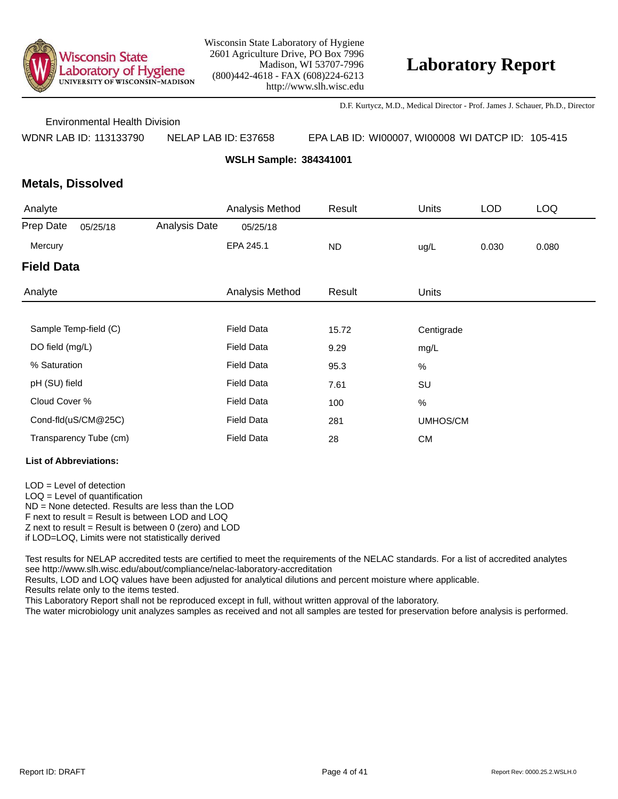

D.F. Kurtycz, M.D., Medical Director - Prof. James J. Schauer, Ph.D., Director

Environmental Health Division

WDNR LAB ID: 113133790 NELAP LAB ID: E37658 EPA LAB ID: WI00007, WI00008 WI DATCP ID: 105-415

**WSLH Sample: 384341001**

### **Metals, Dissolved**

| Analyte           |                        |               | Analysis Method   | Result    | <b>Units</b> | <b>LOD</b> | <b>LOQ</b> |
|-------------------|------------------------|---------------|-------------------|-----------|--------------|------------|------------|
| Prep Date         | 05/25/18               | Analysis Date | 05/25/18          |           |              |            |            |
| Mercury           |                        |               | EPA 245.1         | <b>ND</b> | ug/L         | 0.030      | 0.080      |
| <b>Field Data</b> |                        |               |                   |           |              |            |            |
| Analyte           |                        |               | Analysis Method   | Result    | <b>Units</b> |            |            |
|                   |                        |               |                   |           |              |            |            |
|                   | Sample Temp-field (C)  |               | <b>Field Data</b> | 15.72     | Centigrade   |            |            |
| DO field (mg/L)   |                        |               | <b>Field Data</b> | 9.29      | mg/L         |            |            |
| % Saturation      |                        |               | <b>Field Data</b> | 95.3      | %            |            |            |
| pH (SU) field     |                        |               | <b>Field Data</b> | 7.61      | SU           |            |            |
| Cloud Cover %     |                        |               | <b>Field Data</b> | 100       | $\%$         |            |            |
|                   | Cond-fld(uS/CM@25C)    |               | <b>Field Data</b> | 281       | UMHOS/CM     |            |            |
|                   | Transparency Tube (cm) |               | <b>Field Data</b> | 28        | <b>CM</b>    |            |            |

#### **List of Abbreviations:**

LOD = Level of detection LOQ = Level of quantification ND = None detected. Results are less than the LOD

F next to result = Result is between LOD and LOQ

 $Z$  next to result = Result is between 0 (zero) and LOD

if LOD=LOQ, Limits were not statistically derived

Test results for NELAP accredited tests are certified to meet the requirements of the NELAC standards. For a list of accredited analytes see http://www.slh.wisc.edu/about/compliance/nelac-laboratory-accreditation

Results, LOD and LOQ values have been adjusted for analytical dilutions and percent moisture where applicable.

Results relate only to the items tested.

This Laboratory Report shall not be reproduced except in full, without written approval of the laboratory.

The water microbiology unit analyzes samples as received and not all samples are tested for preservation before analysis is performed.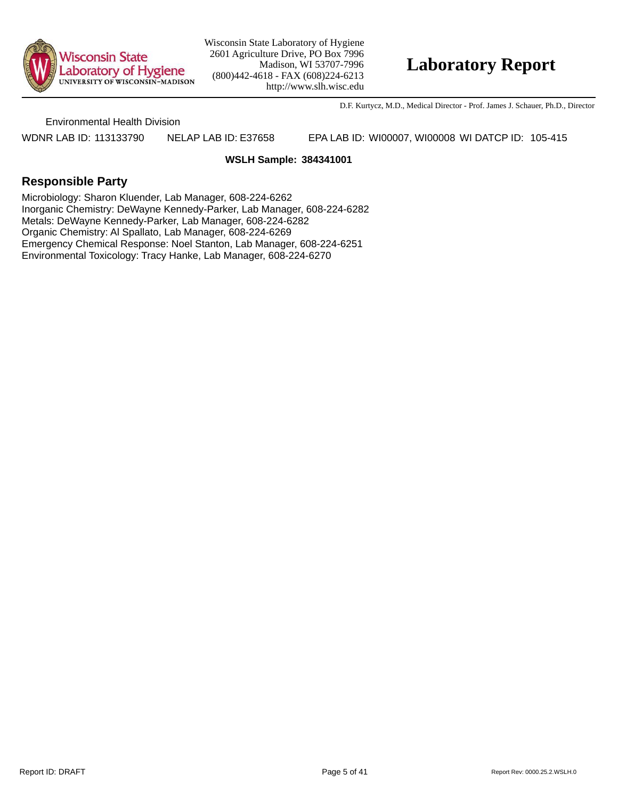

## **Laboratory Report**

D.F. Kurtycz, M.D., Medical Director - Prof. James J. Schauer, Ph.D., Director

Environmental Health Division

WDNR LAB ID: 113133790 NELAP LAB ID: E37658 EPA LAB ID: WI00007, WI00008 WI DATCP ID: 105-415

#### **WSLH Sample: 384341001**

### **Responsible Party**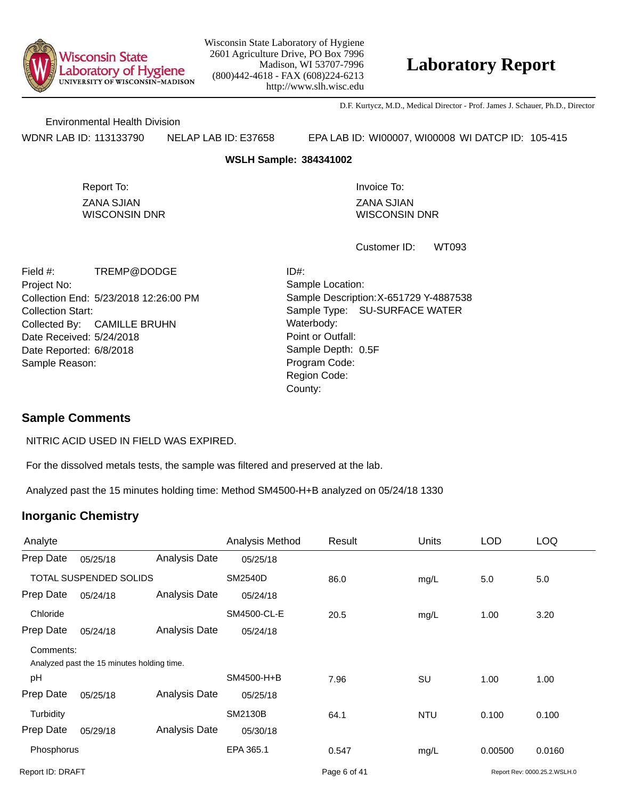

## **Laboratory Report**

D.F. Kurtycz, M.D., Medical Director - Prof. James J. Schauer, Ph.D., Director

Environmental Health Division

WDNR LAB ID: 113133790 NELAP LAB ID: E37658 EPA LAB ID: WI00007, WI00008 WI DATCP ID: 105-415

#### **WSLH Sample: 384341002**

ZANA SJIAN WISCONSIN DNR Report To: **Invoice To:** Invoice To:

ZANA SJIAN WISCONSIN DNR

WT093 Customer ID:

Collection End: 5/23/2018 12:26:00 PM Project No: Date Received: 5/24/2018 Date Reported: 6/8/2018 **Contact State Reported:** 6/8/2018 Field #: TREMP@DODGE Collection Start: Collected By: CAMILLE BRUHN Sample Reason:

Point or Outfall: County: Sample Type: SU-SURFACE WATER Sample Location: Sample Description: X-651729 Y-4887538 ID#: Waterbody: Program Code: Region Code: Sample Depth: 0.5F

### **Sample Comments**

NITRIC ACID USED IN FIELD WAS EXPIRED.

For the dissolved metals tests, the sample was filtered and preserved at the lab.

Analyzed past the 15 minutes holding time: Method SM4500-H+B analyzed on 05/24/18 1330

| Analyte          |                                            |                      | Analysis Method | Result       | <b>Units</b> | <b>LOD</b> | <b>LOQ</b>                   |
|------------------|--------------------------------------------|----------------------|-----------------|--------------|--------------|------------|------------------------------|
| Prep Date        | 05/25/18                                   | Analysis Date        | 05/25/18        |              |              |            |                              |
|                  | TOTAL SUSPENDED SOLIDS                     |                      | <b>SM2540D</b>  | 86.0         | mg/L         | 5.0        | 5.0                          |
| Prep Date        | 05/24/18                                   | Analysis Date        | 05/24/18        |              |              |            |                              |
| Chloride         |                                            |                      | SM4500-CL-E     | 20.5         | mg/L         | 1.00       | 3.20                         |
| Prep Date        | 05/24/18                                   | <b>Analysis Date</b> | 05/24/18        |              |              |            |                              |
| Comments:        | Analyzed past the 15 minutes holding time. |                      |                 |              |              |            |                              |
| pH               |                                            |                      | SM4500-H+B      | 7.96         | SU           | 1.00       | 1.00                         |
| Prep Date        | 05/25/18                                   | Analysis Date        | 05/25/18        |              |              |            |                              |
| Turbidity        |                                            |                      | <b>SM2130B</b>  | 64.1         | <b>NTU</b>   | 0.100      | 0.100                        |
| Prep Date        | 05/29/18                                   | Analysis Date        | 05/30/18        |              |              |            |                              |
| Phosphorus       |                                            |                      | EPA 365.1       | 0.547        | mg/L         | 0.00500    | 0.0160                       |
| Report ID: DRAFT |                                            |                      |                 | Page 6 of 41 |              |            | Report Rev: 0000.25.2.WSLH.0 |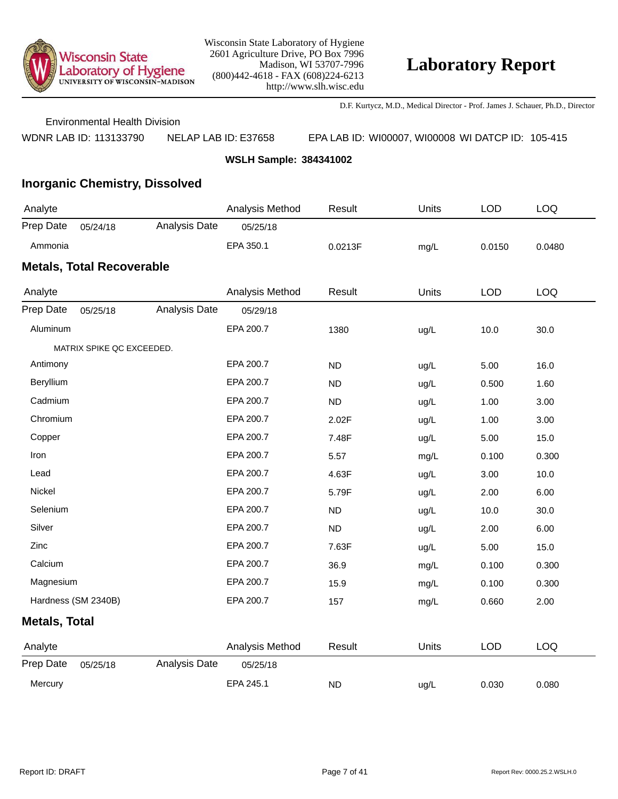

D.F. Kurtycz, M.D., Medical Director - Prof. James J. Schauer, Ph.D., Director

Environmental Health Division

WDNR LAB ID: 113133790 NELAP LAB ID: E37658 EPA LAB ID: WI00007, WI00008 WI DATCP ID: 105-415

**WSLH Sample: 384341002**

## **Inorganic Chemistry, Dissolved**

| Analyte   |                                  |               | Analysis Method | Result  | Units | LOD    | LOQ    |
|-----------|----------------------------------|---------------|-----------------|---------|-------|--------|--------|
| Prep Date | 05/24/18                         | Analysis Date | 05/25/18        |         |       |        |        |
| Ammonia   |                                  |               | EPA 350.1       | 0.0213F | mq/L  | 0.0150 | 0.0480 |
|           | <b>Metals, Total Recoverable</b> |               |                 |         |       |        |        |
| Analyte   |                                  |               | Analysis Method | Result  | Units | LOD    | LOQ.   |
| Prep Date | 05/25/18                         | Analysis Date | 0.5/29/18       |         |       |        |        |

| Prep Date            | 05/25/18                  | Analysis Date | 05/29/18        |           |       |            |            |
|----------------------|---------------------------|---------------|-----------------|-----------|-------|------------|------------|
| Aluminum             |                           |               | EPA 200.7       | 1380      | ug/L  | 10.0       | 30.0       |
|                      | MATRIX SPIKE QC EXCEEDED. |               |                 |           |       |            |            |
| Antimony             |                           |               | EPA 200.7       | <b>ND</b> | ug/L  | 5.00       | 16.0       |
| Beryllium            |                           |               | EPA 200.7       | <b>ND</b> | ug/L  | 0.500      | 1.60       |
| Cadmium              |                           |               | EPA 200.7       | <b>ND</b> | ug/L  | 1.00       | 3.00       |
| Chromium             |                           |               | EPA 200.7       | 2.02F     | ug/L  | 1.00       | 3.00       |
| Copper               |                           |               | EPA 200.7       | 7.48F     | ug/L  | 5.00       | 15.0       |
| Iron                 |                           |               | EPA 200.7       | 5.57      | mg/L  | 0.100      | 0.300      |
| Lead                 |                           |               | EPA 200.7       | 4.63F     | ug/L  | 3.00       | 10.0       |
| Nickel               |                           |               | EPA 200.7       | 5.79F     | ug/L  | 2.00       | 6.00       |
| Selenium             |                           |               | EPA 200.7       | <b>ND</b> | ug/L  | 10.0       | 30.0       |
| Silver               |                           |               | EPA 200.7       | <b>ND</b> | ug/L  | 2.00       | 6.00       |
| Zinc                 |                           |               | EPA 200.7       | 7.63F     | ug/L  | 5.00       | 15.0       |
| Calcium              |                           |               | EPA 200.7       | 36.9      | mg/L  | 0.100      | 0.300      |
| Magnesium            |                           |               | EPA 200.7       | 15.9      | mg/L  | 0.100      | 0.300      |
| Hardness (SM 2340B)  |                           |               | EPA 200.7       | 157       | mg/L  | 0.660      | 2.00       |
| <b>Metals, Total</b> |                           |               |                 |           |       |            |            |
| Analyte              |                           |               | Analysis Method | Result    | Units | <b>LOD</b> | <b>LOQ</b> |
| Prep Date            | 05/25/18                  | Analysis Date | 05/25/18        |           |       |            |            |
| Mercury              |                           |               | EPA 245.1       | <b>ND</b> | ug/L  | 0.030      | 0.080      |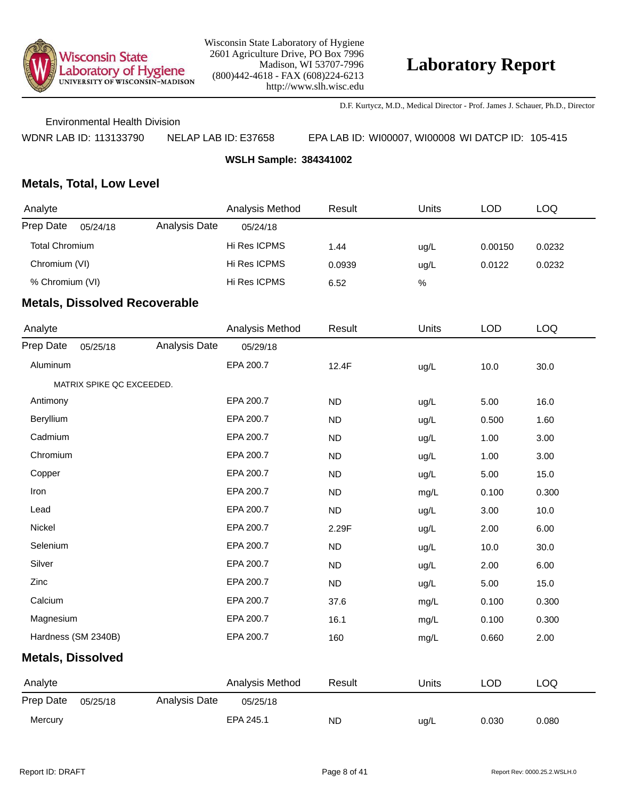

D.F. Kurtycz, M.D., Medical Director - Prof. James J. Schauer, Ph.D., Director

Environmental Health Division

WDNR LAB ID: 113133790 NELAP LAB ID: E37658 EPA LAB ID: WI00007, WI00008 WI DATCP ID: 105-415

**WSLH Sample: 384341002**

### **Metals, Total, Low Level**

| Analyte               |          |               | Analysis Method | Result | Units | LOD     | LOQ    |
|-----------------------|----------|---------------|-----------------|--------|-------|---------|--------|
| Prep Date             | 05/24/18 | Analysis Date | 05/24/18        |        |       |         |        |
| <b>Total Chromium</b> |          |               | Hi Res ICPMS    | 1.44   | uq/L  | 0.00150 | 0.0232 |
| Chromium (VI)         |          |               | Hi Res ICPMS    | 0.0939 | ug/L  | 0.0122  | 0.0232 |
| % Chromium (VI)       |          |               | Hi Res ICPMS    | 6.52   | %     |         |        |
|                       |          |               |                 |        |       |         |        |

| Analyte                  |                           |               | Analysis Method | Result    | Units | <b>LOD</b> | <b>LOQ</b> |
|--------------------------|---------------------------|---------------|-----------------|-----------|-------|------------|------------|
| Prep Date                | 05/25/18                  | Analysis Date | 05/29/18        |           |       |            |            |
| Aluminum                 |                           |               | EPA 200.7       | 12.4F     | ug/L  | 10.0       | 30.0       |
|                          | MATRIX SPIKE QC EXCEEDED. |               |                 |           |       |            |            |
| Antimony                 |                           |               | EPA 200.7       | <b>ND</b> | ug/L  | 5.00       | 16.0       |
| Beryllium                |                           |               | EPA 200.7       | <b>ND</b> | ug/L  | 0.500      | 1.60       |
| Cadmium                  |                           |               | EPA 200.7       | <b>ND</b> | ug/L  | 1.00       | 3.00       |
| Chromium                 |                           |               | EPA 200.7       | <b>ND</b> | ug/L  | 1.00       | 3.00       |
| Copper                   |                           |               | EPA 200.7       | <b>ND</b> | ug/L  | 5.00       | 15.0       |
| Iron                     |                           |               | EPA 200.7       | <b>ND</b> | mg/L  | 0.100      | 0.300      |
| Lead                     |                           |               | EPA 200.7       | <b>ND</b> | ug/L  | 3.00       | 10.0       |
| Nickel                   |                           |               | EPA 200.7       | 2.29F     | ug/L  | 2.00       | 6.00       |
| Selenium                 |                           |               | EPA 200.7       | <b>ND</b> | ug/L  | 10.0       | 30.0       |
| Silver                   |                           |               | EPA 200.7       | <b>ND</b> | ug/L  | 2.00       | 6.00       |
| Zinc                     |                           |               | EPA 200.7       | <b>ND</b> | ug/L  | 5.00       | 15.0       |
| Calcium                  |                           |               | EPA 200.7       | 37.6      | mg/L  | 0.100      | 0.300      |
| Magnesium                |                           |               | EPA 200.7       | 16.1      | mg/L  | 0.100      | 0.300      |
| Hardness (SM 2340B)      |                           |               | EPA 200.7       | 160       | mg/L  | 0.660      | 2.00       |
| <b>Metals, Dissolved</b> |                           |               |                 |           |       |            |            |
| Analyte                  |                           |               | Analysis Method | Result    | Units | <b>LOD</b> | <b>LOQ</b> |
| Prep Date                | 05/25/18                  | Analysis Date | 05/25/18        |           |       |            |            |
| Mercury                  |                           |               | EPA 245.1       | <b>ND</b> | ug/L  | 0.030      | 0.080      |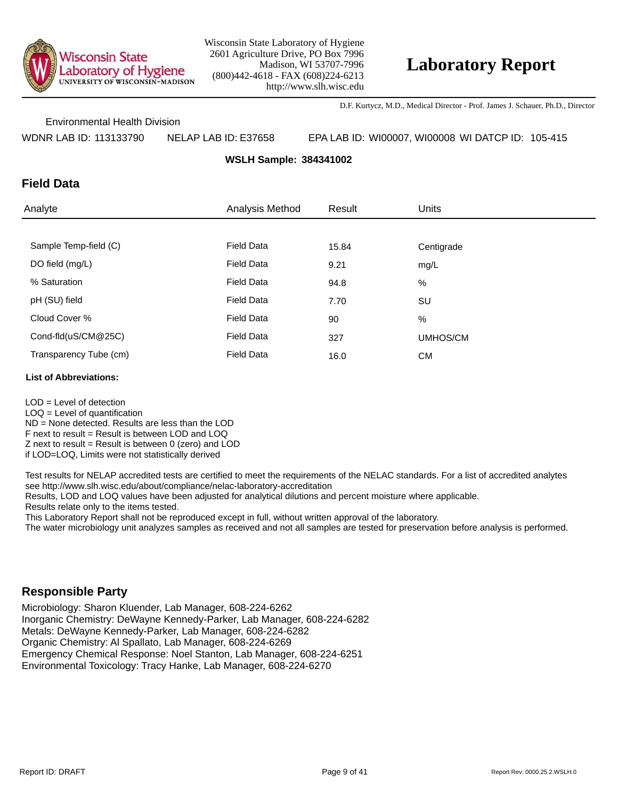

D.F. Kurtycz, M.D., Medical Director - Prof. James J. Schauer, Ph.D., Director

Environmental Health Division

WDNR LAB ID: 113133790 NELAP LAB ID: E37658 EPA LAB ID: WI00007, WI00008 WI DATCP ID: 105-415

**WSLH Sample: 384341002**

### **Field Data**

| Analyte                | Analysis Method   | Result | <b>Units</b> |
|------------------------|-------------------|--------|--------------|
|                        |                   |        |              |
| Sample Temp-field (C)  | <b>Field Data</b> | 15.84  | Centigrade   |
| DO field (mg/L)        | <b>Field Data</b> | 9.21   | mg/L         |
| % Saturation           | <b>Field Data</b> | 94.8   | %            |
| pH (SU) field          | <b>Field Data</b> | 7.70   | SU           |
| Cloud Cover %          | <b>Field Data</b> | 90     | %            |
| Cond-fld(uS/CM@25C)    | <b>Field Data</b> | 327    | UMHOS/CM     |
| Transparency Tube (cm) | <b>Field Data</b> | 16.0   | <b>CM</b>    |

#### **List of Abbreviations:**

LOD = Level of detection  $LOQ =$  Level of quantification ND = None detected. Results are less than the LOD F next to result = Result is between LOD and LOQ  $Z$  next to result = Result is between 0 (zero) and LOD if LOD=LOQ, Limits were not statistically derived

Test results for NELAP accredited tests are certified to meet the requirements of the NELAC standards. For a list of accredited analytes see http://www.slh.wisc.edu/about/compliance/nelac-laboratory-accreditation

Results, LOD and LOQ values have been adjusted for analytical dilutions and percent moisture where applicable.

Results relate only to the items tested.

This Laboratory Report shall not be reproduced except in full, without written approval of the laboratory.

The water microbiology unit analyzes samples as received and not all samples are tested for preservation before analysis is performed.

### **Responsible Party**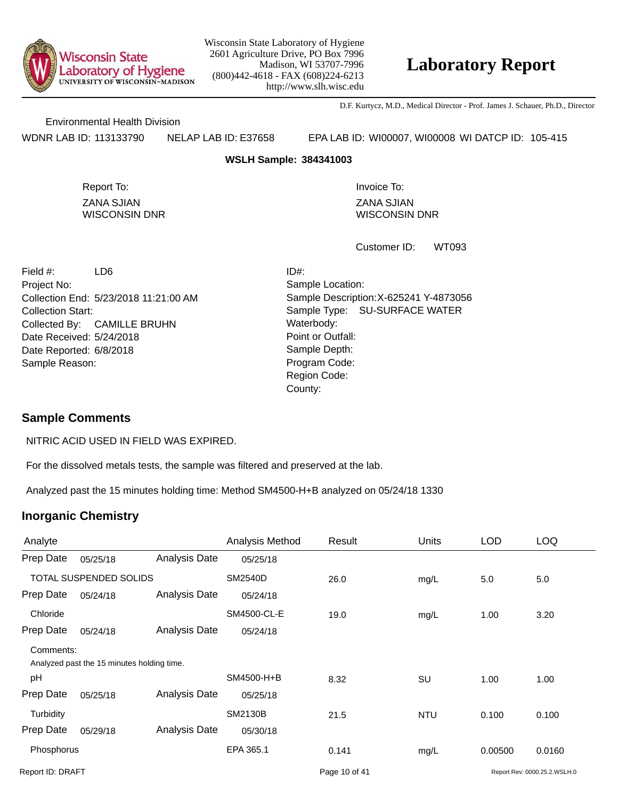

## **Laboratory Report**

D.F. Kurtycz, M.D., Medical Director - Prof. James J. Schauer, Ph.D., Director

Environmental Health Division

WDNR LAB ID: 113133790 NELAP LAB ID: E37658 EPA LAB ID: WI00007, WI00008 WI DATCP ID: 105-415

#### **WSLH Sample: 384341003**

ZANA SJIAN WISCONSIN DNR Report To: **Invoice To:** Invoice To:

ZANA SJIAN WISCONSIN DNR

WT093 Customer ID:

Collection End: 5/23/2018 11:21:00 AM Project No: Date Received: 5/24/2018 Date Reported: 6/8/2018 **Contact State Reported:** 6/8/2018 Field #: LD6 Collection Start: Collected By: CAMILLE BRUHN Sample Reason:

Point or Outfall: County: Sample Type: SU-SURFACE WATER Sample Location: Sample Description: X-625241 Y-4873056 ID#: Waterbody: Program Code: Region Code:

#### **Sample Comments**

NITRIC ACID USED IN FIELD WAS EXPIRED.

For the dissolved metals tests, the sample was filtered and preserved at the lab.

Analyzed past the 15 minutes holding time: Method SM4500-H+B analyzed on 05/24/18 1330

| Analyte          |                                            |                      | Analysis Method | Result        | <b>Units</b> | <b>LOD</b> | <b>LOQ</b>                   |
|------------------|--------------------------------------------|----------------------|-----------------|---------------|--------------|------------|------------------------------|
| Prep Date        | 05/25/18                                   | Analysis Date        | 05/25/18        |               |              |            |                              |
|                  | TOTAL SUSPENDED SOLIDS                     |                      | <b>SM2540D</b>  | 26.0          | mg/L         | 5.0        | 5.0                          |
| Prep Date        | 05/24/18                                   | Analysis Date        | 05/24/18        |               |              |            |                              |
| Chloride         |                                            |                      | SM4500-CL-E     | 19.0          | mg/L         | 1.00       | 3.20                         |
| Prep Date        | 05/24/18                                   | <b>Analysis Date</b> | 05/24/18        |               |              |            |                              |
| Comments:        | Analyzed past the 15 minutes holding time. |                      |                 |               |              |            |                              |
| pH               |                                            |                      | SM4500-H+B      | 8.32          | SU           | 1.00       | 1.00                         |
| Prep Date        | 05/25/18                                   | Analysis Date        | 05/25/18        |               |              |            |                              |
| Turbidity        |                                            |                      | <b>SM2130B</b>  | 21.5          | <b>NTU</b>   | 0.100      | 0.100                        |
| Prep Date        | 05/29/18                                   | Analysis Date        | 05/30/18        |               |              |            |                              |
| Phosphorus       |                                            |                      | EPA 365.1       | 0.141         | mg/L         | 0.00500    | 0.0160                       |
| Report ID: DRAFT |                                            |                      |                 | Page 10 of 41 |              |            | Report Rev: 0000.25.2.WSLH.0 |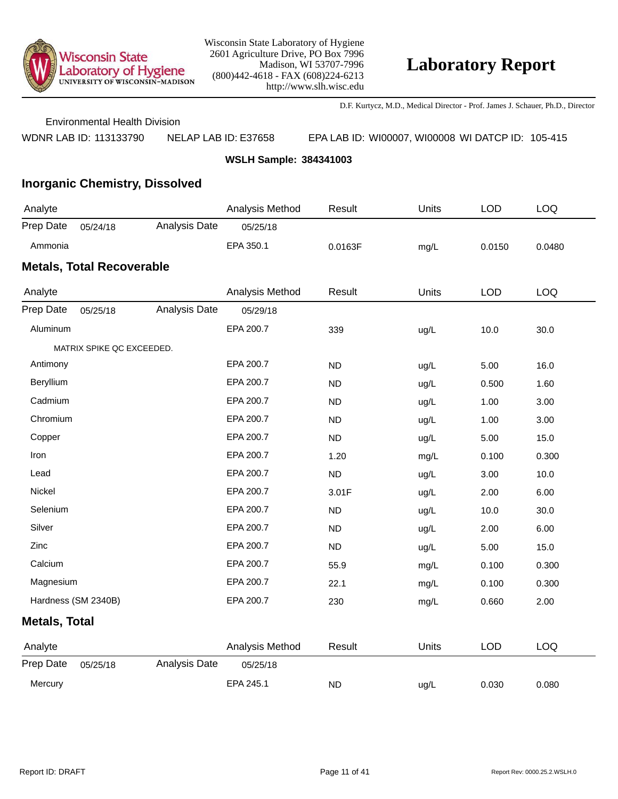

D.F. Kurtycz, M.D., Medical Director - Prof. James J. Schauer, Ph.D., Director

Environmental Health Division

WDNR LAB ID: 113133790 NELAP LAB ID: E37658 EPA LAB ID: WI00007, WI00008 WI DATCP ID: 105-415

**WSLH Sample: 384341003**

## **Inorganic Chemistry, Dissolved**

| Analyte   |                                  |               | Analysis Method | Result  | Units | ∟OD    | LOQ    |  |  |  |
|-----------|----------------------------------|---------------|-----------------|---------|-------|--------|--------|--|--|--|
| Prep Date | 05/24/18                         | Analysis Date | 05/25/18        |         |       |        |        |  |  |  |
| Ammonia   |                                  |               | EPA 350.1       | 0.0163F | mq/L  | 0.0150 | 0.0480 |  |  |  |
|           | <b>Metals, Total Recoverable</b> |               |                 |         |       |        |        |  |  |  |
| Analvte   |                                  |               | Analysis Method | Result  | Units | LOD    | ഥറ     |  |  |  |

| Analyte              |                           |               | Analysis Method | Result    | Units | <b>LOD</b> | <b>LOQ</b> |  |
|----------------------|---------------------------|---------------|-----------------|-----------|-------|------------|------------|--|
| Prep Date            | 05/25/18                  | Analysis Date | 05/29/18        |           |       |            |            |  |
| Aluminum             |                           |               | EPA 200.7       | 339       | ug/L  | 10.0       | 30.0       |  |
|                      | MATRIX SPIKE QC EXCEEDED. |               |                 |           |       |            |            |  |
| Antimony             |                           |               | EPA 200.7       | <b>ND</b> | ug/L  | 5.00       | 16.0       |  |
| Beryllium            |                           |               | EPA 200.7       | <b>ND</b> | ug/L  | 0.500      | 1.60       |  |
| Cadmium              |                           |               | EPA 200.7       | <b>ND</b> | ug/L  | 1.00       | 3.00       |  |
| Chromium             |                           |               | EPA 200.7       | <b>ND</b> | ug/L  | 1.00       | 3.00       |  |
| Copper               |                           |               | EPA 200.7       | <b>ND</b> | ug/L  | 5.00       | 15.0       |  |
| Iron                 |                           |               | EPA 200.7       | 1.20      | mg/L  | 0.100      | 0.300      |  |
| Lead                 |                           |               | EPA 200.7       | <b>ND</b> | ug/L  | 3.00       | 10.0       |  |
| Nickel               |                           |               | EPA 200.7       | 3.01F     | ug/L  | 2.00       | 6.00       |  |
| Selenium             |                           |               | EPA 200.7       | <b>ND</b> | ug/L  | 10.0       | 30.0       |  |
| Silver               |                           |               | EPA 200.7       | <b>ND</b> | ug/L  | 2.00       | 6.00       |  |
| Zinc                 |                           |               | EPA 200.7       | <b>ND</b> | ug/L  | 5.00       | 15.0       |  |
| Calcium              |                           |               | EPA 200.7       | 55.9      | mg/L  | 0.100      | 0.300      |  |
| Magnesium            |                           |               | EPA 200.7       | 22.1      | mg/L  | 0.100      | 0.300      |  |
|                      | Hardness (SM 2340B)       |               | EPA 200.7       | 230       | mg/L  | 0.660      | 2.00       |  |
| <b>Metals, Total</b> |                           |               |                 |           |       |            |            |  |
| Analyte              |                           |               | Analysis Method | Result    | Units | <b>LOD</b> | LOQ        |  |
| Prep Date            | 05/25/18                  | Analysis Date | 05/25/18        |           |       |            |            |  |
| Mercury              |                           |               | EPA 245.1       | <b>ND</b> | ug/L  | 0.030      | 0.080      |  |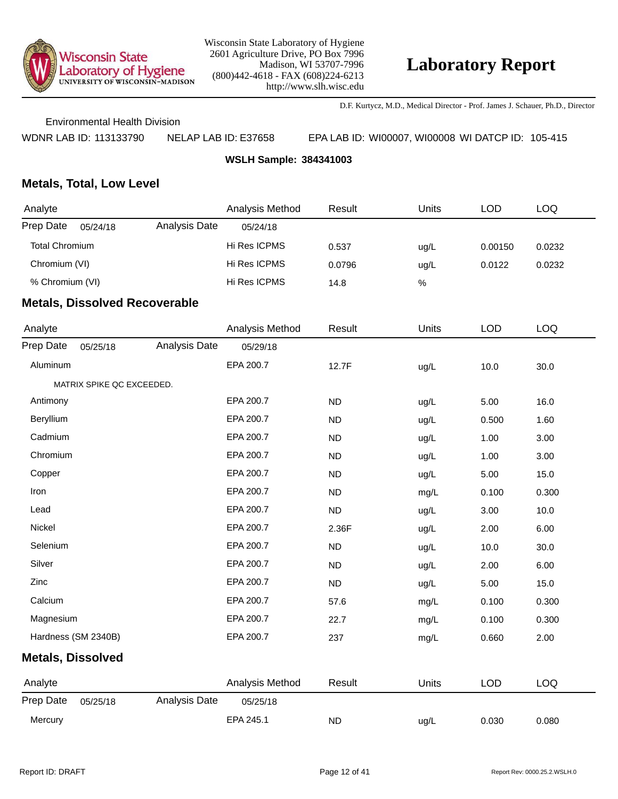

D.F. Kurtycz, M.D., Medical Director - Prof. James J. Schauer, Ph.D., Director

Environmental Health Division

WDNR LAB ID: 113133790 NELAP LAB ID: E37658 EPA LAB ID: WI00007, WI00008 WI DATCP ID: 105-415

**WSLH Sample: 384341003**

### **Metals, Total, Low Level**

| Analyte               |          |               | Analysis Method | Result | <b>Units</b> | LOD     | LOQ    |
|-----------------------|----------|---------------|-----------------|--------|--------------|---------|--------|
| Prep Date             | 05/24/18 | Analysis Date | 05/24/18        |        |              |         |        |
| <b>Total Chromium</b> |          |               | Hi Res ICPMS    | 0.537  | uq/L         | 0.00150 | 0.0232 |
| Chromium (VI)         |          |               | Hi Res ICPMS    | 0.0796 | ug/L         | 0.0122  | 0.0232 |
| % Chromium (VI)       |          |               | Hi Res ICPMS    | 14.8   | %            |         |        |
|                       |          |               |                 |        |              |         |        |

| Analyte                  |                           |               | Analysis Method | Result    | Units | <b>LOD</b> | <b>LOQ</b> |
|--------------------------|---------------------------|---------------|-----------------|-----------|-------|------------|------------|
| Prep Date                | 05/25/18                  | Analysis Date | 05/29/18        |           |       |            |            |
| Aluminum                 |                           |               | EPA 200.7       | 12.7F     | ug/L  | 10.0       | 30.0       |
|                          | MATRIX SPIKE QC EXCEEDED. |               |                 |           |       |            |            |
| Antimony                 |                           |               | EPA 200.7       | <b>ND</b> | ug/L  | 5.00       | 16.0       |
| Beryllium                |                           |               | EPA 200.7       | <b>ND</b> | ug/L  | 0.500      | 1.60       |
| Cadmium                  |                           |               | EPA 200.7       | <b>ND</b> | ug/L  | 1.00       | 3.00       |
| Chromium                 |                           |               | EPA 200.7       | <b>ND</b> | ug/L  | 1.00       | 3.00       |
| Copper                   |                           |               | EPA 200.7       | <b>ND</b> | ug/L  | 5.00       | 15.0       |
| Iron                     |                           |               | EPA 200.7       | <b>ND</b> | mg/L  | 0.100      | 0.300      |
| Lead                     |                           |               | EPA 200.7       | <b>ND</b> | ug/L  | 3.00       | 10.0       |
| Nickel                   |                           |               | EPA 200.7       | 2.36F     | ug/L  | 2.00       | 6.00       |
| Selenium                 |                           |               | EPA 200.7       | <b>ND</b> | ug/L  | 10.0       | 30.0       |
| Silver                   |                           |               | EPA 200.7       | <b>ND</b> | ug/L  | 2.00       | 6.00       |
| Zinc                     |                           |               | EPA 200.7       | <b>ND</b> | ug/L  | 5.00       | 15.0       |
| Calcium                  |                           |               | EPA 200.7       | 57.6      | mg/L  | 0.100      | 0.300      |
| Magnesium                |                           |               | EPA 200.7       | 22.7      | mg/L  | 0.100      | 0.300      |
| Hardness (SM 2340B)      |                           |               | EPA 200.7       | 237       | mg/L  | 0.660      | 2.00       |
| <b>Metals, Dissolved</b> |                           |               |                 |           |       |            |            |
| Analyte                  |                           |               | Analysis Method | Result    | Units | <b>LOD</b> | <b>LOQ</b> |
| Prep Date                | 05/25/18                  | Analysis Date | 05/25/18        |           |       |            |            |
| Mercury                  |                           |               | EPA 245.1       | <b>ND</b> | ug/L  | 0.030      | 0.080      |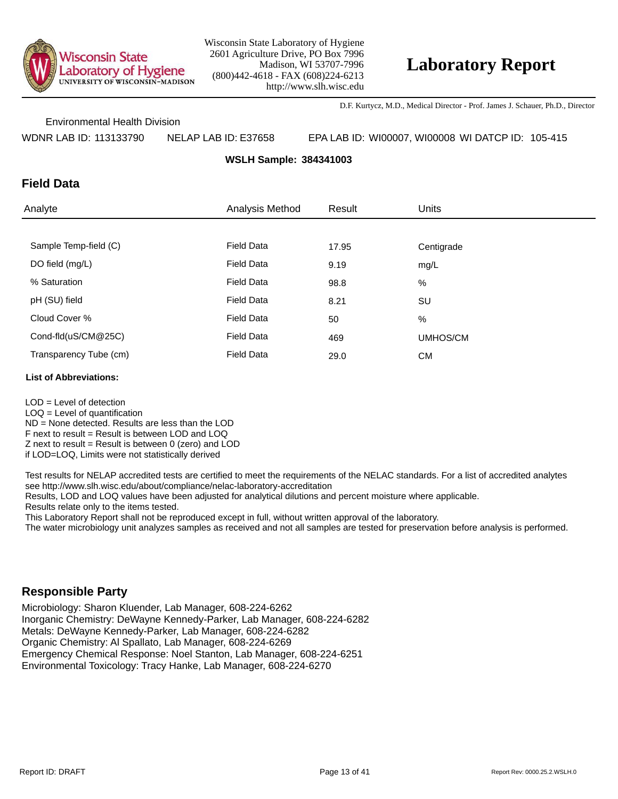

D.F. Kurtycz, M.D., Medical Director - Prof. James J. Schauer, Ph.D., Director

Environmental Health Division

WDNR LAB ID: 113133790 NELAP LAB ID: E37658 EPA LAB ID: WI00007, WI00008 WI DATCP ID: 105-415

**WSLH Sample: 384341003**

### **Field Data**

| Analyte                | Analysis Method   | Result | <b>Units</b> |
|------------------------|-------------------|--------|--------------|
|                        |                   |        |              |
| Sample Temp-field (C)  | <b>Field Data</b> | 17.95  | Centigrade   |
| DO field (mg/L)        | <b>Field Data</b> | 9.19   | mg/L         |
| % Saturation           | <b>Field Data</b> | 98.8   | %            |
| pH (SU) field          | <b>Field Data</b> | 8.21   | SU           |
| Cloud Cover %          | <b>Field Data</b> | 50     | %            |
| Cond-fld(uS/CM@25C)    | <b>Field Data</b> | 469    | UMHOS/CM     |
| Transparency Tube (cm) | <b>Field Data</b> | 29.0   | <b>CM</b>    |

#### **List of Abbreviations:**

LOD = Level of detection  $LOQ =$  Level of quantification ND = None detected. Results are less than the LOD F next to result = Result is between LOD and LOQ  $Z$  next to result = Result is between 0 (zero) and LOD if LOD=LOQ, Limits were not statistically derived

Test results for NELAP accredited tests are certified to meet the requirements of the NELAC standards. For a list of accredited analytes see http://www.slh.wisc.edu/about/compliance/nelac-laboratory-accreditation

Results, LOD and LOQ values have been adjusted for analytical dilutions and percent moisture where applicable.

Results relate only to the items tested.

This Laboratory Report shall not be reproduced except in full, without written approval of the laboratory.

The water microbiology unit analyzes samples as received and not all samples are tested for preservation before analysis is performed.

### **Responsible Party**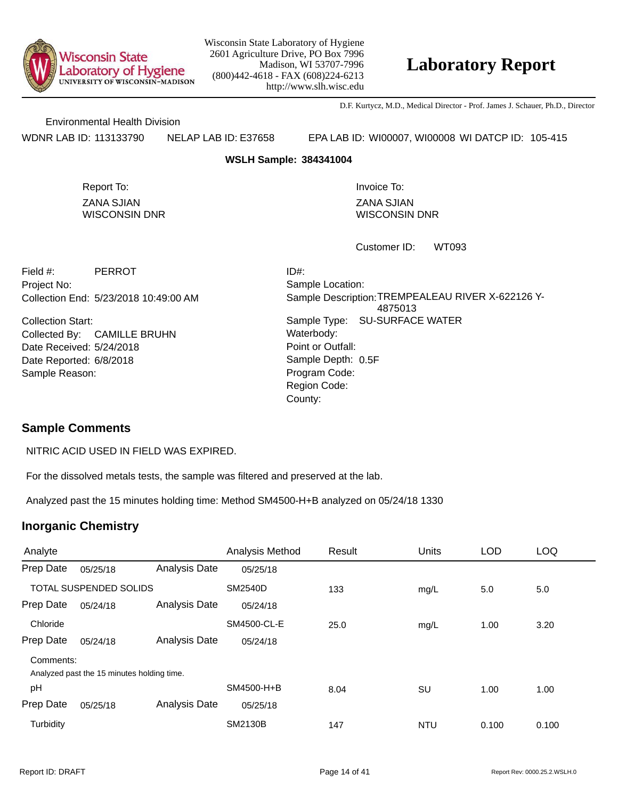

# **Laboratory Report**

D.F. Kurtycz, M.D., Medical Director - Prof. James J. Schauer, Ph.D., Director

Environmental Health Division

WDNR LAB ID: 113133790 NELAP LAB ID: E37658 EPA LAB ID: WI00007, WI00008 WI DATCP ID: 105-415

#### **WSLH Sample: 384341004**

ZANA SJIAN WISCONSIN DNR Report To: **Invoice To:** Invoice To:

ZANA SJIAN WISCONSIN DNR

WT093 Customer ID:

Collection End: 5/23/2018 10:49:00 AM Project No: Field #: PERROT

Date Received: 5/24/2018 Date Reported: 6/8/2018 **Contact Solution** Sample Depth: Collection Start: Collected By: CAMILLE BRUHN Sample Reason:

Point or Outfall: County: Sample Type: SU-SURFACE WATER Sample Location: Sample Description: TREMPEALEAU RIVER X-622126 Y-4875013 ID#: Waterbody: Program Code: Region Code: Sample Depth: 0.5F

### **Sample Comments**

NITRIC ACID USED IN FIELD WAS EXPIRED.

For the dissolved metals tests, the sample was filtered and preserved at the lab.

Analyzed past the 15 minutes holding time: Method SM4500-H+B analyzed on 05/24/18 1330

| Analyte                |                                            |               | Analysis Method | Result | <b>Units</b> | <b>LOD</b> | <b>LOQ</b> |
|------------------------|--------------------------------------------|---------------|-----------------|--------|--------------|------------|------------|
| Prep Date              | 05/25/18                                   | Analysis Date | 05/25/18        |        |              |            |            |
| TOTAL SUSPENDED SOLIDS |                                            |               | <b>SM2540D</b>  | 133    | mg/L         | 5.0        | 5.0        |
| Prep Date              | 05/24/18                                   | Analysis Date | 05/24/18        |        |              |            |            |
| Chloride               |                                            |               | SM4500-CL-E     | 25.0   | mg/L         | 1.00       | 3.20       |
| Prep Date              | 05/24/18                                   | Analysis Date | 05/24/18        |        |              |            |            |
| Comments:              |                                            |               |                 |        |              |            |            |
|                        | Analyzed past the 15 minutes holding time. |               |                 |        |              |            |            |
| pH                     |                                            |               | SM4500-H+B      | 8.04   | SU           | 1.00       | 1.00       |
| Prep Date              | 05/25/18                                   | Analysis Date | 05/25/18        |        |              |            |            |
| Turbidity              |                                            |               | <b>SM2130B</b>  | 147    | <b>NTU</b>   | 0.100      | 0.100      |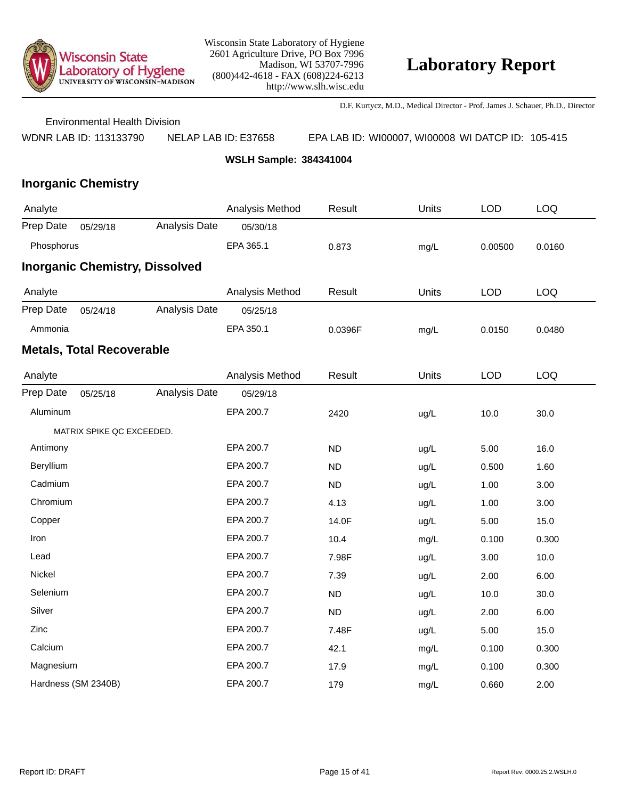

D.F. Kurtycz, M.D., Medical Director - Prof. James J. Schauer, Ph.D., Director

Environmental Health Division

WDNR LAB ID: 113133790 NELAP LAB ID: E37658 EPA LAB ID: WI00007, WI00008 WI DATCP ID: 105-415

**WSLH Sample: 384341004**

| Analyte    |                                  |                                       | Analysis Method | Result    | Units | <b>LOD</b> | LOQ        |
|------------|----------------------------------|---------------------------------------|-----------------|-----------|-------|------------|------------|
| Prep Date  | 05/29/18                         | Analysis Date                         | 05/30/18        |           |       |            |            |
| Phosphorus |                                  |                                       | EPA 365.1       | 0.873     | mg/L  | 0.00500    | 0.0160     |
|            |                                  | <b>Inorganic Chemistry, Dissolved</b> |                 |           |       |            |            |
| Analyte    |                                  |                                       | Analysis Method | Result    | Units | <b>LOD</b> | LOQ        |
| Prep Date  | 05/24/18                         | Analysis Date                         | 05/25/18        |           |       |            |            |
| Ammonia    |                                  |                                       | EPA 350.1       | 0.0396F   | mg/L  | 0.0150     | 0.0480     |
|            | <b>Metals, Total Recoverable</b> |                                       |                 |           |       |            |            |
| Analyte    |                                  |                                       | Analysis Method | Result    | Units | <b>LOD</b> | <b>LOQ</b> |
| Prep Date  | 05/25/18                         | Analysis Date                         | 05/29/18        |           |       |            |            |
| Aluminum   |                                  |                                       | EPA 200.7       | 2420      | ug/L  | 10.0       | 30.0       |
|            | MATRIX SPIKE QC EXCEEDED.        |                                       |                 |           |       |            |            |
| Antimony   |                                  |                                       | EPA 200.7       | <b>ND</b> | ug/L  | 5.00       | 16.0       |
| Beryllium  |                                  |                                       | EPA 200.7       | <b>ND</b> | ug/L  | 0.500      | 1.60       |
| Cadmium    |                                  |                                       | EPA 200.7       | <b>ND</b> | ug/L  | 1.00       | 3.00       |
| Chromium   |                                  |                                       | EPA 200.7       | 4.13      | ug/L  | 1.00       | 3.00       |
| Copper     |                                  |                                       | EPA 200.7       | 14.0F     | ug/L  | 5.00       | 15.0       |
| Iron       |                                  |                                       | EPA 200.7       | 10.4      | mg/L  | 0.100      | 0.300      |
| Lead       |                                  |                                       | EPA 200.7       | 7.98F     | ug/L  | 3.00       | 10.0       |
| Nickel     |                                  |                                       | EPA 200.7       | 7.39      | ug/L  | 2.00       | 6.00       |
| Selenium   |                                  |                                       | EPA 200.7       | <b>ND</b> | ug/L  | 10.0       | 30.0       |
| Silver     |                                  |                                       | EPA 200.7       | <b>ND</b> | ug/L  | 2.00       | 6.00       |
| Zinc       |                                  |                                       | EPA 200.7       | 7.48F     | ug/L  | 5.00       | 15.0       |
| Calcium    |                                  |                                       | EPA 200.7       | 42.1      | mg/L  | 0.100      | 0.300      |
| Magnesium  |                                  |                                       | EPA 200.7       | 17.9      | mg/L  | 0.100      | 0.300      |
|            | Hardness (SM 2340B)              |                                       | EPA 200.7       | 179       | mg/L  | 0.660      | 2.00       |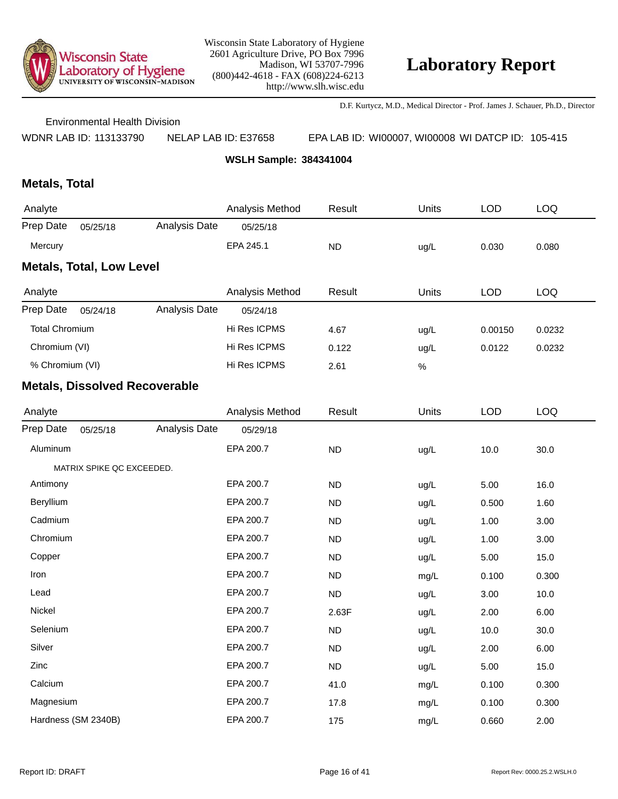

D.F. Kurtycz, M.D., Medical Director - Prof. James J. Schauer, Ph.D., Director

Environmental Health Division

WDNR LAB ID: 113133790 NELAP LAB ID: E37658 EPA LAB ID: WI00007, WI00008 WI DATCP ID: 105-415

**WSLH Sample: 384341004**

## **Metals, Total**

| Analyte                         |          |               | Analysis Method | Result    | Units | LOD   | LOQ   |  |  |  |
|---------------------------------|----------|---------------|-----------------|-----------|-------|-------|-------|--|--|--|
| Prep Date                       | 05/25/18 | Analysis Date | 05/25/18        |           |       |       |       |  |  |  |
| Mercury                         |          |               | EPA 245.1       | <b>ND</b> | ug/L  | 0.030 | 0.080 |  |  |  |
| <b>Metals, Total, Low Level</b> |          |               |                 |           |       |       |       |  |  |  |

| Analyte               |          |               | Analysis Method | Result | Units | <b>LOD</b> | LOQ    |
|-----------------------|----------|---------------|-----------------|--------|-------|------------|--------|
| Prep Date             | 05/24/18 | Analysis Date | 05/24/18        |        |       |            |        |
| <b>Total Chromium</b> |          |               | Hi Res ICPMS    | 4.67   | ug/L  | 0.00150    | 0.0232 |
| Chromium (VI)         |          |               | Hi Res ICPMS    | 0.122  | ug/L  | 0.0122     | 0.0232 |
| % Chromium (VI)       |          |               | Hi Res ICPMS    | 2.61   | %     |            |        |

| Analyte   |                           |               | Analysis Method | Result    | Units | <b>LOD</b> | <b>LOQ</b> |
|-----------|---------------------------|---------------|-----------------|-----------|-------|------------|------------|
| Prep Date | 05/25/18                  | Analysis Date | 05/29/18        |           |       |            |            |
| Aluminum  |                           |               | EPA 200.7       | ND        | ug/L  | 10.0       | 30.0       |
|           | MATRIX SPIKE QC EXCEEDED. |               |                 |           |       |            |            |
| Antimony  |                           |               | EPA 200.7       | <b>ND</b> | ug/L  | 5.00       | 16.0       |
| Beryllium |                           |               | EPA 200.7       | <b>ND</b> | ug/L  | 0.500      | 1.60       |
| Cadmium   |                           |               | EPA 200.7       | <b>ND</b> | ug/L  | 1.00       | 3.00       |
| Chromium  |                           |               | EPA 200.7       | <b>ND</b> | ug/L  | 1.00       | 3.00       |
| Copper    |                           |               | EPA 200.7       | <b>ND</b> | ug/L  | 5.00       | 15.0       |
| Iron      |                           |               | EPA 200.7       | <b>ND</b> | mg/L  | 0.100      | 0.300      |
| Lead      |                           |               | EPA 200.7       | <b>ND</b> | ug/L  | 3.00       | 10.0       |
| Nickel    |                           |               | EPA 200.7       | 2.63F     | ug/L  | 2.00       | 6.00       |
| Selenium  |                           |               | EPA 200.7       | <b>ND</b> | ug/L  | 10.0       | 30.0       |
| Silver    |                           |               | EPA 200.7       | <b>ND</b> | ug/L  | 2.00       | 6.00       |
| Zinc      |                           |               | EPA 200.7       | <b>ND</b> | ug/L  | 5.00       | 15.0       |
| Calcium   |                           |               | EPA 200.7       | 41.0      | mg/L  | 0.100      | 0.300      |
| Magnesium |                           |               | EPA 200.7       | 17.8      | mg/L  | 0.100      | 0.300      |
|           | Hardness (SM 2340B)       |               | EPA 200.7       | 175       | mg/L  | 0.660      | 2.00       |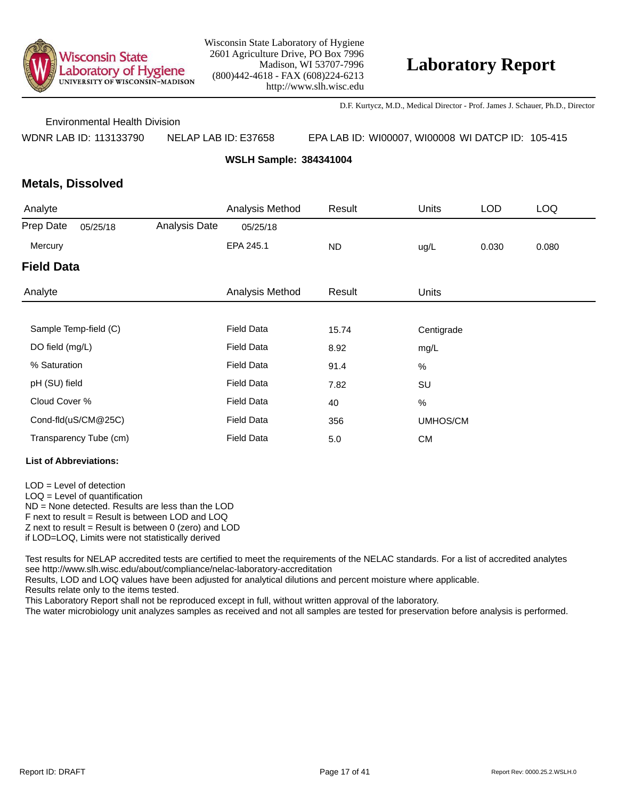

D.F. Kurtycz, M.D., Medical Director - Prof. James J. Schauer, Ph.D., Director

Environmental Health Division

WDNR LAB ID: 113133790 NELAP LAB ID: E37658 EPA LAB ID: WI00007, WI00008 WI DATCP ID: 105-415

**WSLH Sample: 384341004**

### **Metals, Dissolved**

| Analyte           |                        |               | Analysis Method   | Result    | <b>Units</b> | <b>LOD</b> | <b>LOQ</b> |
|-------------------|------------------------|---------------|-------------------|-----------|--------------|------------|------------|
| Prep Date         | 05/25/18               | Analysis Date | 05/25/18          |           |              |            |            |
| Mercury           |                        |               | EPA 245.1         | <b>ND</b> | ug/L         | 0.030      | 0.080      |
| <b>Field Data</b> |                        |               |                   |           |              |            |            |
| Analyte           |                        |               | Analysis Method   | Result    | <b>Units</b> |            |            |
|                   |                        |               |                   |           |              |            |            |
|                   | Sample Temp-field (C)  |               | <b>Field Data</b> | 15.74     | Centigrade   |            |            |
| DO field (mg/L)   |                        |               | <b>Field Data</b> | 8.92      | mg/L         |            |            |
| % Saturation      |                        |               | <b>Field Data</b> | 91.4      | $\%$         |            |            |
| pH (SU) field     |                        |               | <b>Field Data</b> | 7.82      | SU           |            |            |
| Cloud Cover %     |                        |               | <b>Field Data</b> | 40        | $\%$         |            |            |
|                   | Cond-fld(uS/CM@25C)    |               | <b>Field Data</b> | 356       | UMHOS/CM     |            |            |
|                   | Transparency Tube (cm) |               | <b>Field Data</b> | 5.0       | <b>CM</b>    |            |            |

#### **List of Abbreviations:**

LOD = Level of detection

LOQ = Level of quantification

ND = None detected. Results are less than the LOD

F next to result = Result is between LOD and LOQ

 $Z$  next to result = Result is between 0 (zero) and LOD

if LOD=LOQ, Limits were not statistically derived

Test results for NELAP accredited tests are certified to meet the requirements of the NELAC standards. For a list of accredited analytes see http://www.slh.wisc.edu/about/compliance/nelac-laboratory-accreditation

Results, LOD and LOQ values have been adjusted for analytical dilutions and percent moisture where applicable.

Results relate only to the items tested.

This Laboratory Report shall not be reproduced except in full, without written approval of the laboratory.

The water microbiology unit analyzes samples as received and not all samples are tested for preservation before analysis is performed.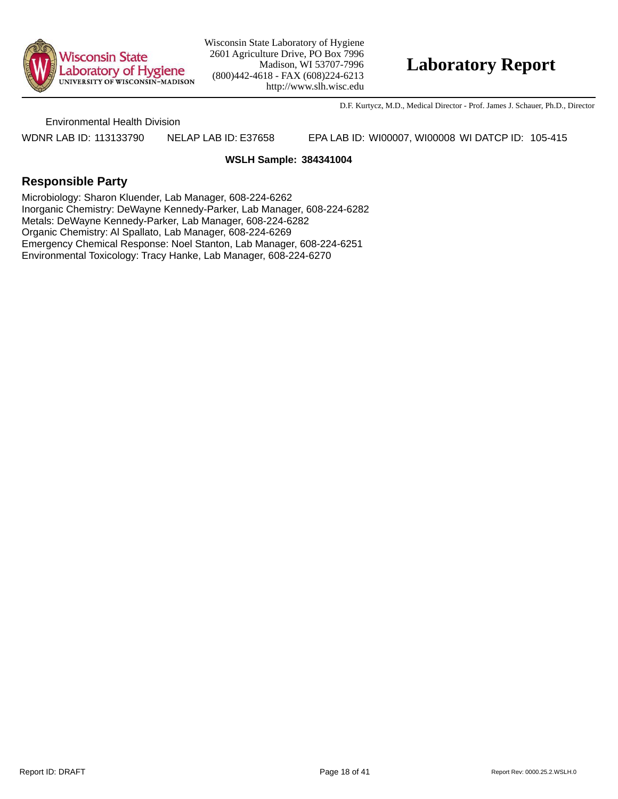

## **Laboratory Report**

D.F. Kurtycz, M.D., Medical Director - Prof. James J. Schauer, Ph.D., Director

Environmental Health Division

WDNR LAB ID: 113133790 NELAP LAB ID: E37658 EPA LAB ID: WI00007, WI00008 WI DATCP ID: 105-415

#### **WSLH Sample: 384341004**

### **Responsible Party**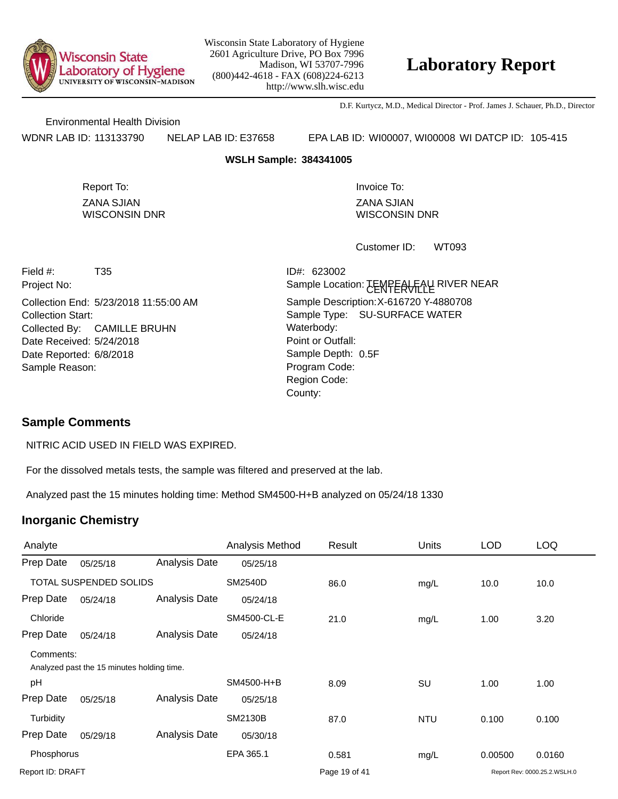

# **Laboratory Report**

D.F. Kurtycz, M.D., Medical Director - Prof. James J. Schauer, Ph.D., Director

Environmental Health Division

WDNR LAB ID: 113133790 NELAP LAB ID: E37658 EPA LAB ID: WI00007, WI00008 WI DATCP ID: 105-415

#### **WSLH Sample: 384341005**

ZANA SJIAN WISCONSIN DNR Report To: **Invoice To:** Invoice To:

ZANA SJIAN WISCONSIN DNR

WT093 Customer ID:

Collection End: 5/23/2018 11:55:00 AM Project No: Date Received: 5/24/2018 Date Reported: 6/8/2018 **Sample Depth:** Field #: T35 Collection Start: Collected By: CAMILLE BRUHN Sample Reason:

Point or Outfall: County: Sample Type: SU-SURFACE WATER Sample Location: <del>JEWPEAU L</del>ALVER NEAR Sample Description: X-616720 Y-4880708 ID#: 623002 Waterbody: Program Code: Region Code: Sample Depth: 0.5F

### **Sample Comments**

NITRIC ACID USED IN FIELD WAS EXPIRED.

For the dissolved metals tests, the sample was filtered and preserved at the lab.

Analyzed past the 15 minutes holding time: Method SM4500-H+B analyzed on 05/24/18 1330

| Analyte                       |                                            |                      | Analysis Method | Result        | Units | <b>LOD</b> | <b>LOQ</b>                   |
|-------------------------------|--------------------------------------------|----------------------|-----------------|---------------|-------|------------|------------------------------|
| Prep Date                     | 05/25/18                                   | Analysis Date        | 05/25/18        |               |       |            |                              |
| <b>TOTAL SUSPENDED SOLIDS</b> |                                            |                      | <b>SM2540D</b>  | 86.0          | mg/L  | 10.0       | 10.0                         |
| Prep Date                     | 05/24/18                                   | Analysis Date        | 05/24/18        |               |       |            |                              |
| Chloride                      |                                            |                      | SM4500-CL-E     | 21.0          | mg/L  | 1.00       | 3.20                         |
| Prep Date                     | 05/24/18                                   | <b>Analysis Date</b> | 05/24/18        |               |       |            |                              |
| Comments:                     |                                            |                      |                 |               |       |            |                              |
|                               | Analyzed past the 15 minutes holding time. |                      |                 |               |       |            |                              |
| pH                            |                                            |                      | SM4500-H+B      | 8.09          | SU    | 1.00       | 1.00                         |
| Prep Date                     | 05/25/18                                   | <b>Analysis Date</b> | 05/25/18        |               |       |            |                              |
| Turbidity                     |                                            |                      | <b>SM2130B</b>  | 87.0          | NTU   | 0.100      | 0.100                        |
| Prep Date                     | 05/29/18                                   | Analysis Date        | 05/30/18        |               |       |            |                              |
| Phosphorus                    |                                            |                      | EPA 365.1       | 0.581         | mg/L  | 0.00500    | 0.0160                       |
| Report ID: DRAFT              |                                            |                      |                 | Page 19 of 41 |       |            | Report Rev: 0000.25.2.WSLH.0 |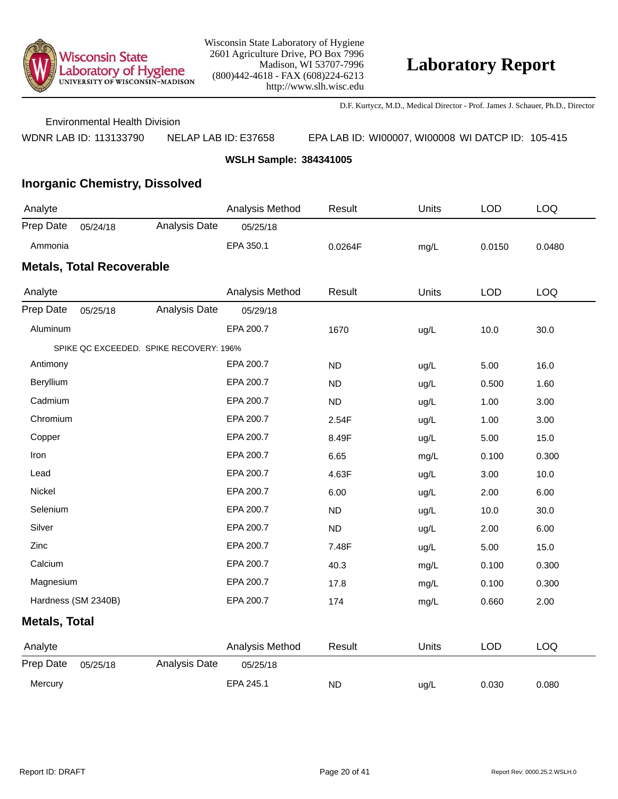

D.F. Kurtycz, M.D., Medical Director - Prof. James J. Schauer, Ph.D., Director

Environmental Health Division

WDNR LAB ID: 113133790 NELAP LAB ID: E37658 EPA LAB ID: WI00007, WI00008 WI DATCP ID: 105-415

**WSLH Sample: 384341005**

## **Inorganic Chemistry, Dissolved**

| Analyte                          |          |               | Analysis Method | Result  | Units | LOD    | LOQ    |  |  |
|----------------------------------|----------|---------------|-----------------|---------|-------|--------|--------|--|--|
| Prep Date                        | 05/24/18 | Analysis Date | 05/25/18        |         |       |        |        |  |  |
| Ammonia                          |          |               | EPA 350.1       | 0.0264F | mg/L  | 0.0150 | 0.0480 |  |  |
| <b>Metals, Total Recoverable</b> |          |               |                 |         |       |        |        |  |  |

| Analyte              |                                         | Analysis Method | Result    | Units | <b>LOD</b> | LOQ   |
|----------------------|-----------------------------------------|-----------------|-----------|-------|------------|-------|
| Prep Date            | Analysis Date<br>05/25/18               | 05/29/18        |           |       |            |       |
| Aluminum             |                                         | EPA 200.7       | 1670      | ug/L  | 10.0       | 30.0  |
|                      | SPIKE QC EXCEEDED. SPIKE RECOVERY: 196% |                 |           |       |            |       |
| Antimony             |                                         | EPA 200.7       | <b>ND</b> | ug/L  | 5.00       | 16.0  |
| Beryllium            |                                         | EPA 200.7       | <b>ND</b> | ug/L  | 0.500      | 1.60  |
| Cadmium              |                                         | EPA 200.7       | <b>ND</b> | ug/L  | 1.00       | 3.00  |
| Chromium             |                                         | EPA 200.7       | 2.54F     | ug/L  | 1.00       | 3.00  |
| Copper               |                                         | EPA 200.7       | 8.49F     | ug/L  | 5.00       | 15.0  |
| Iron                 |                                         | EPA 200.7       | 6.65      | mg/L  | 0.100      | 0.300 |
| Lead                 |                                         | EPA 200.7       | 4.63F     | ug/L  | 3.00       | 10.0  |
| Nickel               |                                         | EPA 200.7       | 6.00      | ug/L  | 2.00       | 6.00  |
| Selenium             |                                         | EPA 200.7       | <b>ND</b> | ug/L  | 10.0       | 30.0  |
| Silver               |                                         | EPA 200.7       | ND        | ug/L  | 2.00       | 6.00  |
| Zinc                 |                                         | EPA 200.7       | 7.48F     | ug/L  | 5.00       | 15.0  |
| Calcium              |                                         | EPA 200.7       | 40.3      | mg/L  | 0.100      | 0.300 |
| Magnesium            |                                         | EPA 200.7       | 17.8      | mg/L  | 0.100      | 0.300 |
|                      | Hardness (SM 2340B)                     | EPA 200.7       | 174       | mg/L  | 0.660      | 2.00  |
| <b>Metals, Total</b> |                                         |                 |           |       |            |       |
| Analyte              |                                         | Analysis Method | Result    | Units | <b>LOD</b> | LOQ   |
| Prep Date            | Analysis Date<br>05/25/18               | 05/25/18        |           |       |            |       |
| Mercury              |                                         | EPA 245.1       | <b>ND</b> | ug/L  | 0.030      | 0.080 |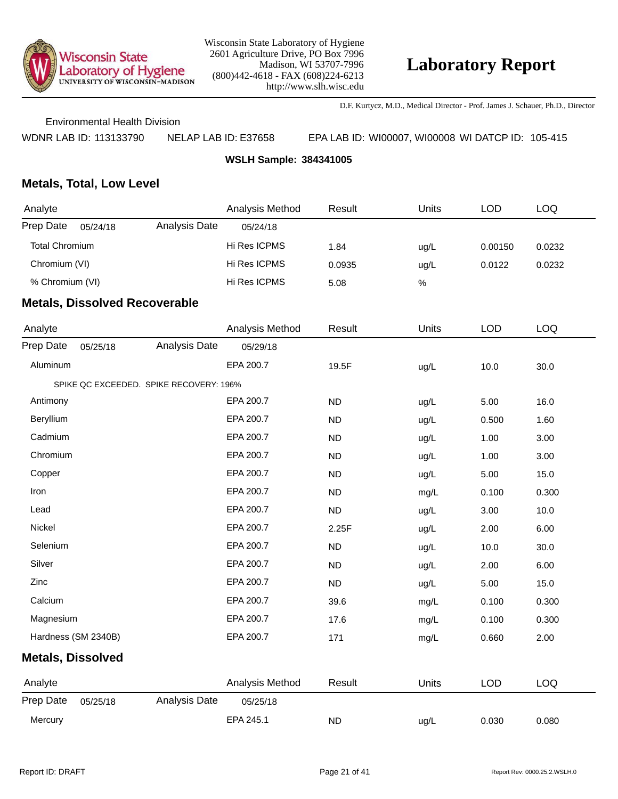

D.F. Kurtycz, M.D., Medical Director - Prof. James J. Schauer, Ph.D., Director

Environmental Health Division

WDNR LAB ID: 113133790 NELAP LAB ID: E37658 EPA LAB ID: WI00007, WI00008 WI DATCP ID: 105-415

**WSLH Sample: 384341005**

### **Metals, Total, Low Level**

| Analyte         |          |               | Analysis Method | Result | Units | LOD     | LOQ    |
|-----------------|----------|---------------|-----------------|--------|-------|---------|--------|
| Prep Date       | 05/24/18 | Analysis Date | 05/24/18        |        |       |         |        |
| Total Chromium  |          |               | Hi Res ICPMS    | 1.84   | ug/L  | 0.00150 | 0.0232 |
| Chromium (VI)   |          |               | Hi Res ICPMS    | 0.0935 | ug/L  | 0.0122  | 0.0232 |
| % Chromium (VI) |          |               | Hi Res ICPMS    | 5.08   | %     |         |        |
| -- - -<br>--    |          | . .           |                 |        |       |         |        |

| Analyte                  |                                         | Analysis Method | Result    | <b>Units</b> | <b>LOD</b> | <b>LOQ</b> |
|--------------------------|-----------------------------------------|-----------------|-----------|--------------|------------|------------|
| Prep Date                | Analysis Date<br>05/25/18               | 05/29/18        |           |              |            |            |
| Aluminum                 |                                         | EPA 200.7       | 19.5F     | ug/L         | 10.0       | 30.0       |
|                          | SPIKE QC EXCEEDED. SPIKE RECOVERY: 196% |                 |           |              |            |            |
| Antimony                 |                                         | EPA 200.7       | <b>ND</b> | ug/L         | 5.00       | 16.0       |
| Beryllium                |                                         | EPA 200.7       | <b>ND</b> | ug/L         | 0.500      | 1.60       |
| Cadmium                  |                                         | EPA 200.7       | <b>ND</b> | ug/L         | 1.00       | 3.00       |
| Chromium                 |                                         | EPA 200.7       | <b>ND</b> | ug/L         | 1.00       | 3.00       |
| Copper                   |                                         | EPA 200.7       | <b>ND</b> | ug/L         | 5.00       | 15.0       |
| Iron                     |                                         | EPA 200.7       | <b>ND</b> | mg/L         | 0.100      | 0.300      |
| Lead                     |                                         | EPA 200.7       | <b>ND</b> | ug/L         | 3.00       | 10.0       |
| Nickel                   |                                         | EPA 200.7       | 2.25F     | ug/L         | 2.00       | 6.00       |
| Selenium                 |                                         | EPA 200.7       | <b>ND</b> | ug/L         | 10.0       | 30.0       |
| Silver                   |                                         | EPA 200.7       | <b>ND</b> | ug/L         | 2.00       | 6.00       |
| Zinc                     |                                         | EPA 200.7       | <b>ND</b> | ug/L         | 5.00       | 15.0       |
| Calcium                  |                                         | EPA 200.7       | 39.6      | mg/L         | 0.100      | 0.300      |
| Magnesium                |                                         | EPA 200.7       | 17.6      | mg/L         | 0.100      | 0.300      |
| Hardness (SM 2340B)      |                                         | EPA 200.7       | 171       | mg/L         | 0.660      | 2.00       |
| <b>Metals, Dissolved</b> |                                         |                 |           |              |            |            |
| Analyte                  |                                         | Analysis Method | Result    | Units        | <b>LOD</b> | <b>LOQ</b> |
| Prep Date                | Analysis Date<br>05/25/18               | 05/25/18        |           |              |            |            |
| Mercury                  |                                         | EPA 245.1       | <b>ND</b> | ug/L         | 0.030      | 0.080      |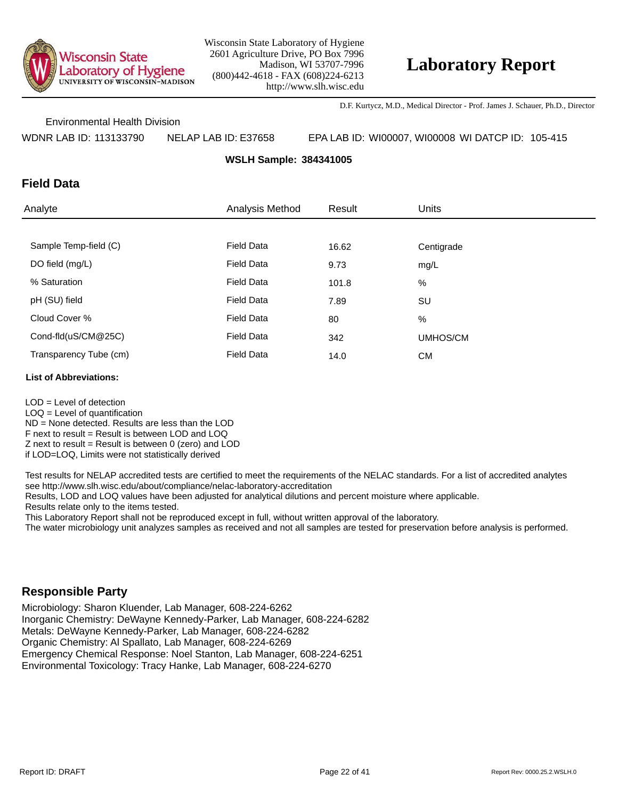

D.F. Kurtycz, M.D., Medical Director - Prof. James J. Schauer, Ph.D., Director

Environmental Health Division

WDNR LAB ID: 113133790 NELAP LAB ID: E37658 EPA LAB ID: WI00007, WI00008 WI DATCP ID: 105-415

**WSLH Sample: 384341005**

### **Field Data**

| Analyte                | Analysis Method   | Result | <b>Units</b> |
|------------------------|-------------------|--------|--------------|
|                        |                   |        |              |
| Sample Temp-field (C)  | <b>Field Data</b> | 16.62  | Centigrade   |
| DO field (mg/L)        | <b>Field Data</b> | 9.73   | mg/L         |
| % Saturation           | <b>Field Data</b> | 101.8  | %            |
| pH (SU) field          | <b>Field Data</b> | 7.89   | SU           |
| Cloud Cover %          | <b>Field Data</b> | 80     | %            |
| Cond-fld(uS/CM@25C)    | <b>Field Data</b> | 342    | UMHOS/CM     |
| Transparency Tube (cm) | <b>Field Data</b> | 14.0   | <b>CM</b>    |

#### **List of Abbreviations:**

LOD = Level of detection  $LOQ =$  Level of quantification ND = None detected. Results are less than the LOD F next to result = Result is between LOD and LOQ  $Z$  next to result = Result is between 0 (zero) and LOD if LOD=LOQ, Limits were not statistically derived

Test results for NELAP accredited tests are certified to meet the requirements of the NELAC standards. For a list of accredited analytes see http://www.slh.wisc.edu/about/compliance/nelac-laboratory-accreditation

Results, LOD and LOQ values have been adjusted for analytical dilutions and percent moisture where applicable.

Results relate only to the items tested.

This Laboratory Report shall not be reproduced except in full, without written approval of the laboratory.

The water microbiology unit analyzes samples as received and not all samples are tested for preservation before analysis is performed.

### **Responsible Party**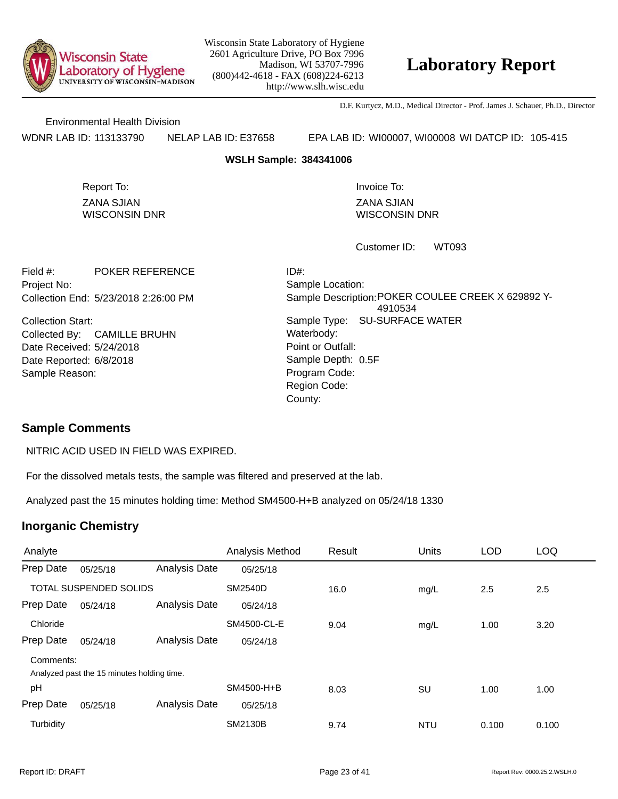

## **Laboratory Report**

D.F. Kurtycz, M.D., Medical Director - Prof. James J. Schauer, Ph.D., Director

Environmental Health Division

WDNR LAB ID: 113133790 NELAP LAB ID: E37658 EPA LAB ID: WI00007, WI00008 WI DATCP ID: 105-415

#### **WSLH Sample: 384341006**

ZANA SJIAN WISCONSIN DNR Report To: **Invoice To:** Invoice To:

ZANA SJIAN WISCONSIN DNR

WT093 Customer ID:

Collection End: 5/23/2018 2:26:00 PM Project No: Field #: POKER REFERENCE

Date Received: 5/24/2018 Date Reported: 6/8/2018 **Contact Solution** Sample Depth: Collection Start: Collected By: CAMILLE BRUHN Sample Reason:

Point or Outfall: County: Sample Type: SU-SURFACE WATER Sample Location: Sample Description: POKER COULEE CREEK X 629892 Y-4910534 ID#: Waterbody: Program Code: Region Code: Sample Depth: 0.5F

### **Sample Comments**

NITRIC ACID USED IN FIELD WAS EXPIRED.

For the dissolved metals tests, the sample was filtered and preserved at the lab.

Analyzed past the 15 minutes holding time: Method SM4500-H+B analyzed on 05/24/18 1330

| Analyte                       |                                            |               | Analysis Method | Result | <b>Units</b> | <b>LOD</b> | <b>LOQ</b> |
|-------------------------------|--------------------------------------------|---------------|-----------------|--------|--------------|------------|------------|
| Prep Date                     | 05/25/18                                   | Analysis Date | 05/25/18        |        |              |            |            |
| <b>TOTAL SUSPENDED SOLIDS</b> |                                            |               | SM2540D         | 16.0   | mg/L         | 2.5        | 2.5        |
| Prep Date                     | 05/24/18                                   | Analysis Date | 05/24/18        |        |              |            |            |
| Chloride                      |                                            |               | SM4500-CL-E     | 9.04   | mg/L         | 1.00       | 3.20       |
| Prep Date                     | 05/24/18                                   | Analysis Date | 05/24/18        |        |              |            |            |
| Comments:                     |                                            |               |                 |        |              |            |            |
|                               | Analyzed past the 15 minutes holding time. |               |                 |        |              |            |            |
| pH                            |                                            |               | SM4500-H+B      | 8.03   | SU           | 1.00       | 1.00       |
| Prep Date                     | 05/25/18                                   | Analysis Date | 05/25/18        |        |              |            |            |
| Turbidity                     |                                            |               | <b>SM2130B</b>  | 9.74   | <b>NTU</b>   | 0.100      | 0.100      |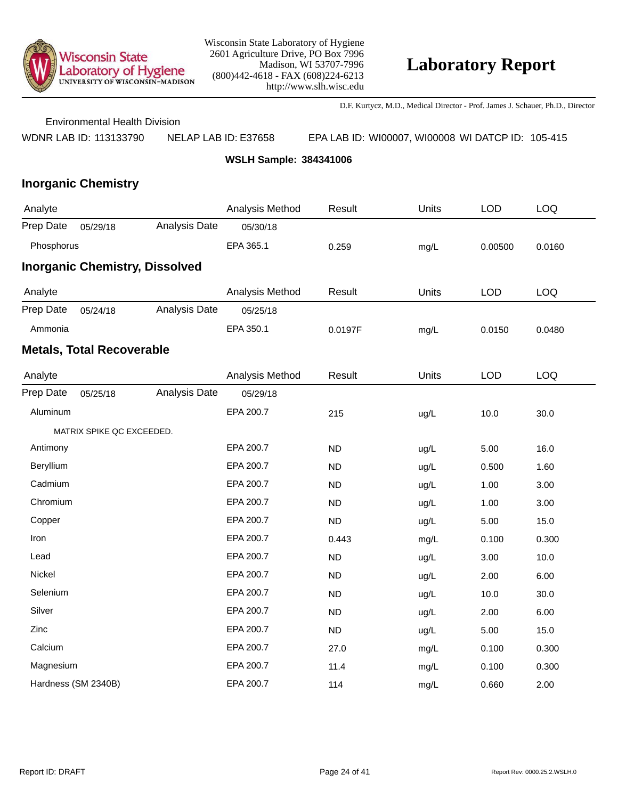

D.F. Kurtycz, M.D., Medical Director - Prof. James J. Schauer, Ph.D., Director

Environmental Health Division

WDNR LAB ID: 113133790 NELAP LAB ID: E37658 EPA LAB ID: WI00007, WI00008 WI DATCP ID: 105-415

**WSLH Sample: 384341006**

| Analyte    |                                  |                                       | Analysis Method | Result    | Units | <b>LOD</b> | <b>LOQ</b> |
|------------|----------------------------------|---------------------------------------|-----------------|-----------|-------|------------|------------|
| Prep Date  | 05/29/18                         | Analysis Date                         | 05/30/18        |           |       |            |            |
| Phosphorus |                                  |                                       | EPA 365.1       | 0.259     | mg/L  | 0.00500    | 0.0160     |
|            |                                  | <b>Inorganic Chemistry, Dissolved</b> |                 |           |       |            |            |
| Analyte    |                                  |                                       | Analysis Method | Result    | Units | <b>LOD</b> | <b>LOQ</b> |
| Prep Date  | 05/24/18                         | Analysis Date                         | 05/25/18        |           |       |            |            |
| Ammonia    |                                  |                                       | EPA 350.1       | 0.0197F   | mg/L  | 0.0150     | 0.0480     |
|            | <b>Metals, Total Recoverable</b> |                                       |                 |           |       |            |            |
| Analyte    |                                  |                                       | Analysis Method | Result    | Units | <b>LOD</b> | <b>LOQ</b> |
| Prep Date  | 05/25/18                         | Analysis Date                         | 05/29/18        |           |       |            |            |
| Aluminum   |                                  |                                       | EPA 200.7       | 215       | ug/L  | 10.0       | 30.0       |
|            | MATRIX SPIKE QC EXCEEDED.        |                                       |                 |           |       |            |            |
| Antimony   |                                  |                                       | EPA 200.7       | <b>ND</b> | ug/L  | 5.00       | 16.0       |
| Beryllium  |                                  |                                       | EPA 200.7       | <b>ND</b> | ug/L  | 0.500      | 1.60       |
| Cadmium    |                                  |                                       | EPA 200.7       | <b>ND</b> | ug/L  | 1.00       | 3.00       |
| Chromium   |                                  |                                       | EPA 200.7       | <b>ND</b> | ug/L  | 1.00       | 3.00       |
| Copper     |                                  |                                       | EPA 200.7       | <b>ND</b> | ug/L  | 5.00       | 15.0       |
| Iron       |                                  |                                       | EPA 200.7       | 0.443     | mg/L  | 0.100      | 0.300      |
| Lead       |                                  |                                       | EPA 200.7       | <b>ND</b> | ug/L  | 3.00       | 10.0       |
| Nickel     |                                  |                                       | EPA 200.7       | <b>ND</b> | ug/L  | 2.00       | 6.00       |
| Selenium   |                                  |                                       | EPA 200.7       | <b>ND</b> | ug/L  | 10.0       | 30.0       |
| Silver     |                                  |                                       | EPA 200.7       | <b>ND</b> | ug/L  | 2.00       | 6.00       |
| Zinc       |                                  |                                       | EPA 200.7       | ND        | ug/L  | 5.00       | 15.0       |
| Calcium    |                                  |                                       | EPA 200.7       | 27.0      | mg/L  | 0.100      | 0.300      |
| Magnesium  |                                  |                                       | EPA 200.7       | 11.4      | mg/L  | 0.100      | 0.300      |
|            | Hardness (SM 2340B)              |                                       | EPA 200.7       | 114       | mg/L  | 0.660      | 2.00       |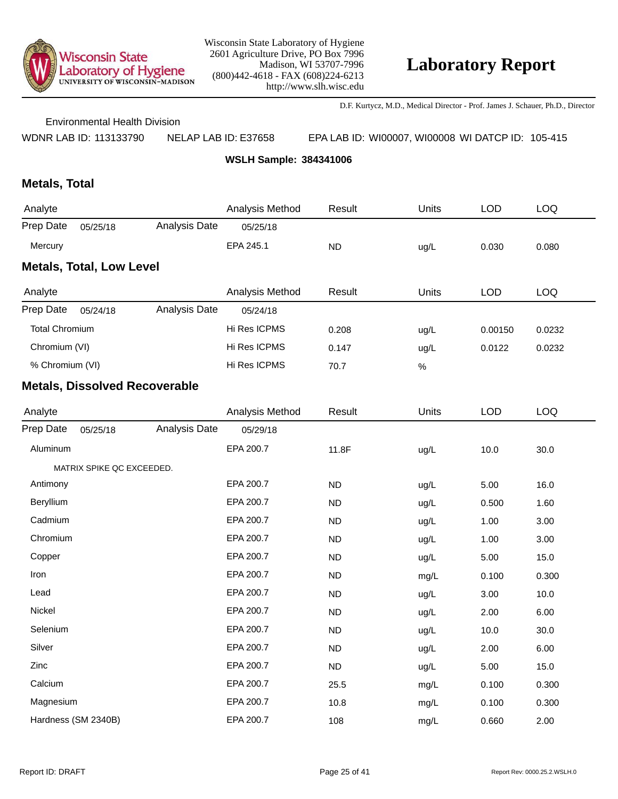

D.F. Kurtycz, M.D., Medical Director - Prof. James J. Schauer, Ph.D., Director

Environmental Health Division

WDNR LAB ID: 113133790 NELAP LAB ID: E37658 EPA LAB ID: WI00007, WI00008 WI DATCP ID: 105-415

**WSLH Sample: 384341006**

## **Metals, Total**

| Analyte                         |          |               | Analysis Method | Result    | Units | LOD   | LOQ   |  |  |
|---------------------------------|----------|---------------|-----------------|-----------|-------|-------|-------|--|--|
| Prep Date                       | 05/25/18 | Analysis Date | 05/25/18        |           |       |       |       |  |  |
| Mercury                         |          |               | EPA 245.1       | <b>ND</b> | ug/L  | 0.030 | 0.080 |  |  |
| <b>Metals, Total, Low Level</b> |          |               |                 |           |       |       |       |  |  |

| Analyte               |          |               | Analysis Method | Result | Units | <b>LOD</b> | LOQ    |
|-----------------------|----------|---------------|-----------------|--------|-------|------------|--------|
| Prep Date             | 05/24/18 | Analysis Date | 05/24/18        |        |       |            |        |
| <b>Total Chromium</b> |          |               | Hi Res ICPMS    | 0.208  | ug/L  | 0.00150    | 0.0232 |
| Chromium (VI)         |          |               | Hi Res ICPMS    | 0.147  | ug/L  | 0.0122     | 0.0232 |
| % Chromium (VI)       |          |               | Hi Res ICPMS    | 70.7   | %     |            |        |

| Analyte   |                           |               | Analysis Method | Result    | Units | <b>LOD</b> | <b>LOQ</b> |
|-----------|---------------------------|---------------|-----------------|-----------|-------|------------|------------|
| Prep Date | 05/25/18                  | Analysis Date | 05/29/18        |           |       |            |            |
| Aluminum  |                           |               | EPA 200.7       | 11.8F     | ug/L  | 10.0       | 30.0       |
|           | MATRIX SPIKE QC EXCEEDED. |               |                 |           |       |            |            |
| Antimony  |                           |               | EPA 200.7       | <b>ND</b> | ug/L  | 5.00       | 16.0       |
| Beryllium |                           |               | EPA 200.7       | <b>ND</b> | ug/L  | 0.500      | 1.60       |
| Cadmium   |                           |               | EPA 200.7       | <b>ND</b> | ug/L  | 1.00       | 3.00       |
| Chromium  |                           |               | EPA 200.7       | <b>ND</b> | ug/L  | 1.00       | 3.00       |
| Copper    |                           |               | EPA 200.7       | <b>ND</b> | ug/L  | 5.00       | 15.0       |
| Iron      |                           |               | EPA 200.7       | <b>ND</b> | mg/L  | 0.100      | 0.300      |
| Lead      |                           |               | EPA 200.7       | <b>ND</b> | ug/L  | 3.00       | 10.0       |
| Nickel    |                           |               | EPA 200.7       | <b>ND</b> | ug/L  | 2.00       | 6.00       |
| Selenium  |                           |               | EPA 200.7       | <b>ND</b> | ug/L  | 10.0       | 30.0       |
| Silver    |                           |               | EPA 200.7       | <b>ND</b> | ug/L  | 2.00       | 6.00       |
| Zinc      |                           |               | EPA 200.7       | <b>ND</b> | ug/L  | 5.00       | 15.0       |
| Calcium   |                           |               | EPA 200.7       | 25.5      | mg/L  | 0.100      | 0.300      |
| Magnesium |                           |               | EPA 200.7       | 10.8      | mg/L  | 0.100      | 0.300      |
|           | Hardness (SM 2340B)       |               | EPA 200.7       | 108       | mg/L  | 0.660      | 2.00       |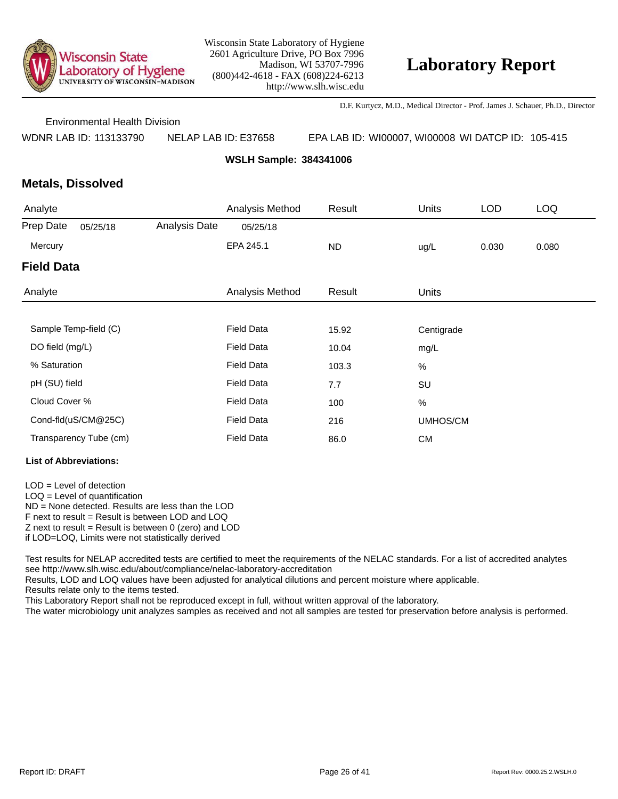

D.F. Kurtycz, M.D., Medical Director - Prof. James J. Schauer, Ph.D., Director

Environmental Health Division

WDNR LAB ID: 113133790 NELAP LAB ID: E37658 EPA LAB ID: WI00007, WI00008 WI DATCP ID: 105-415

**WSLH Sample: 384341006**

### **Metals, Dissolved**

| Analyte           |                        |               | Analysis Method   | Result    | Units        | <b>LOD</b> | <b>LOQ</b> |
|-------------------|------------------------|---------------|-------------------|-----------|--------------|------------|------------|
| Prep Date         | 05/25/18               | Analysis Date | 05/25/18          |           |              |            |            |
| Mercury           |                        |               | EPA 245.1         | <b>ND</b> | ug/L         | 0.030      | 0.080      |
| <b>Field Data</b> |                        |               |                   |           |              |            |            |
| Analyte           |                        |               | Analysis Method   | Result    | <b>Units</b> |            |            |
|                   |                        |               |                   |           |              |            |            |
|                   | Sample Temp-field (C)  |               | <b>Field Data</b> | 15.92     | Centigrade   |            |            |
| DO field (mg/L)   |                        |               | <b>Field Data</b> | 10.04     | mg/L         |            |            |
| % Saturation      |                        |               | <b>Field Data</b> | 103.3     | %            |            |            |
| pH (SU) field     |                        |               | <b>Field Data</b> | 7.7       | SU           |            |            |
| Cloud Cover %     |                        |               | <b>Field Data</b> | 100       | $\%$         |            |            |
|                   | Cond-fld(uS/CM@25C)    |               | <b>Field Data</b> | 216       | UMHOS/CM     |            |            |
|                   | Transparency Tube (cm) |               | <b>Field Data</b> | 86.0      | <b>CM</b>    |            |            |

#### **List of Abbreviations:**

LOD = Level of detection LOQ = Level of quantification ND = None detected. Results are less than the LOD F next to result = Result is between LOD and LOQ  $Z$  next to result = Result is between 0 (zero) and LOD if LOD=LOQ, Limits were not statistically derived

Test results for NELAP accredited tests are certified to meet the requirements of the NELAC standards. For a list of accredited analytes see http://www.slh.wisc.edu/about/compliance/nelac-laboratory-accreditation

Results, LOD and LOQ values have been adjusted for analytical dilutions and percent moisture where applicable.

Results relate only to the items tested.

This Laboratory Report shall not be reproduced except in full, without written approval of the laboratory.

The water microbiology unit analyzes samples as received and not all samples are tested for preservation before analysis is performed.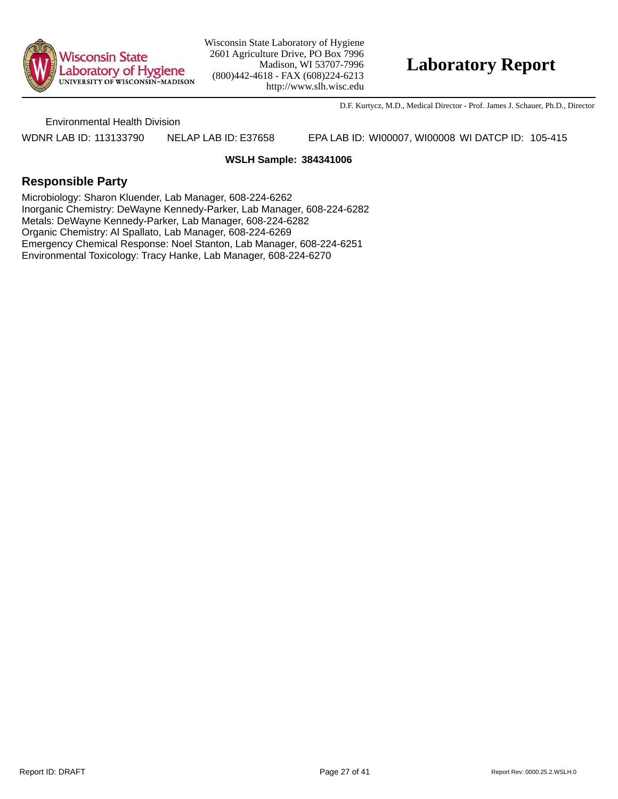

## **Laboratory Report**

D.F. Kurtycz, M.D., Medical Director - Prof. James J. Schauer, Ph.D., Director

Environmental Health Division

WDNR LAB ID: 113133790 NELAP LAB ID: E37658 EPA LAB ID: WI00007, WI00008 WI DATCP ID: 105-415

#### **WSLH Sample: 384341006**

### **Responsible Party**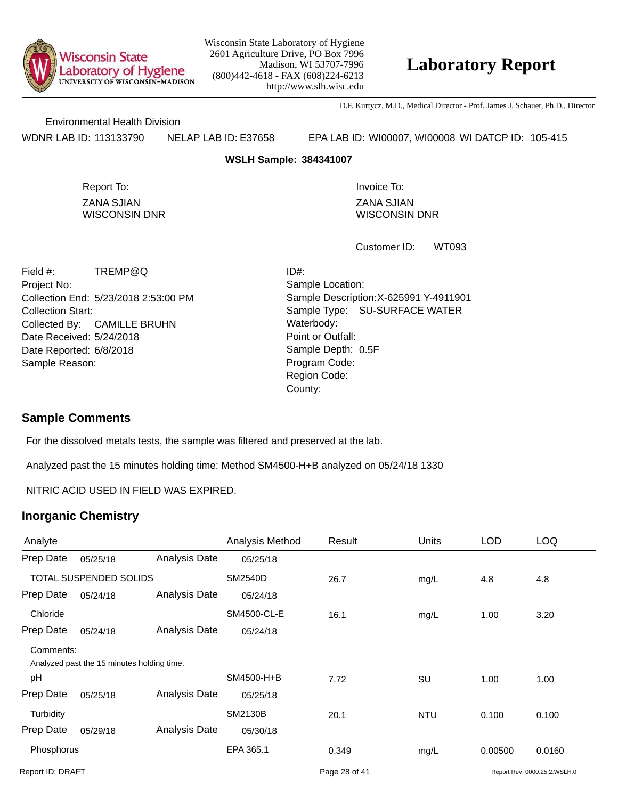

## **Laboratory Report**

D.F. Kurtycz, M.D., Medical Director - Prof. James J. Schauer, Ph.D., Director

Environmental Health Division

WDNR LAB ID: 113133790 NELAP LAB ID: E37658 EPA LAB ID: WI00007, WI00008 WI DATCP ID: 105-415

#### **WSLH Sample: 384341007**

ZANA SJIAN WISCONSIN DNR Report To: **Invoice To:** Invoice To:

ZANA SJIAN WISCONSIN DNR

WT093 Customer ID:

Collection End: 5/23/2018 2:53:00 PM Project No: Date Received: 5/24/2018 Date Reported: 6/8/2018 **Contact State Reported:** 6/8/2018 Field #: TREMP@Q Collection Start: Collected By: CAMILLE BRUHN Sample Reason:

Point or Outfall: County: Sample Type: SU-SURFACE WATER Sample Location: Sample Description: X-625991 Y-4911901 ID#: Waterbody: Program Code: Region Code: Sample Depth: 0.5F

#### **Sample Comments**

For the dissolved metals tests, the sample was filtered and preserved at the lab.

Analyzed past the 15 minutes holding time: Method SM4500-H+B analyzed on 05/24/18 1330

NITRIC ACID USED IN FIELD WAS EXPIRED.

| Analyte                |                                            |               | Analysis Method | Result        | Units      | <b>LOD</b> | <b>LOQ</b>                   |
|------------------------|--------------------------------------------|---------------|-----------------|---------------|------------|------------|------------------------------|
| Prep Date              | 05/25/18                                   | Analysis Date | 05/25/18        |               |            |            |                              |
| TOTAL SUSPENDED SOLIDS |                                            |               | <b>SM2540D</b>  | 26.7          | mg/L       | 4.8        | 4.8                          |
| Prep Date              | 05/24/18                                   | Analysis Date | 05/24/18        |               |            |            |                              |
| Chloride               |                                            |               | SM4500-CL-E     | 16.1          | mg/L       | 1.00       | 3.20                         |
| Prep Date              | 05/24/18                                   | Analysis Date | 05/24/18        |               |            |            |                              |
| Comments:              | Analyzed past the 15 minutes holding time. |               |                 |               |            |            |                              |
| рH                     |                                            |               | SM4500-H+B      | 7.72          | SU         | 1.00       | 1.00                         |
| Prep Date              | 05/25/18                                   | Analysis Date | 05/25/18        |               |            |            |                              |
| Turbidity              |                                            |               | <b>SM2130B</b>  | 20.1          | <b>NTU</b> | 0.100      | 0.100                        |
| Prep Date              | 05/29/18                                   | Analysis Date | 05/30/18        |               |            |            |                              |
| Phosphorus             |                                            |               | EPA 365.1       | 0.349         | mg/L       | 0.00500    | 0.0160                       |
| Report ID: DRAFT       |                                            |               |                 | Page 28 of 41 |            |            | Report Rev: 0000.25.2.WSLH.0 |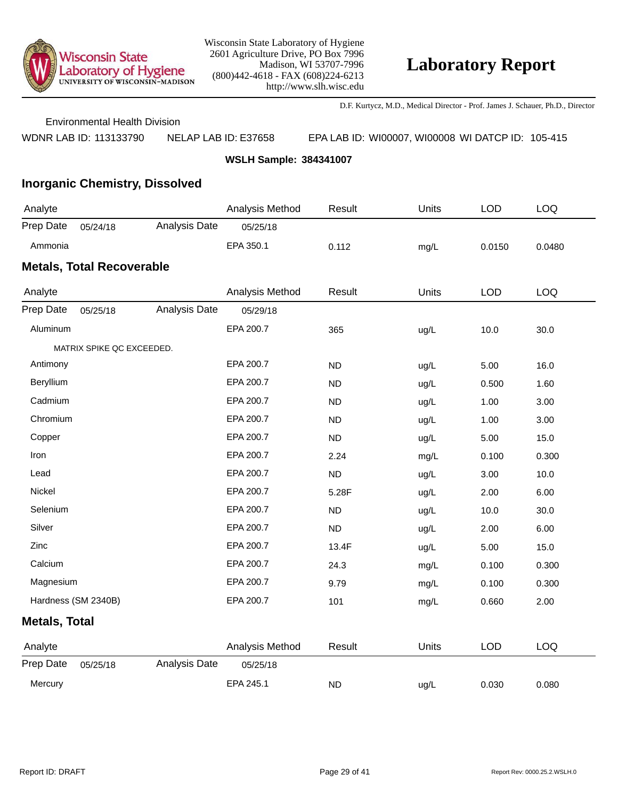

D.F. Kurtycz, M.D., Medical Director - Prof. James J. Schauer, Ph.D., Director

Environmental Health Division

WDNR LAB ID: 113133790 NELAP LAB ID: E37658 EPA LAB ID: WI00007, WI00008 WI DATCP ID: 105-415

**WSLH Sample: 384341007**

## **Inorganic Chemistry, Dissolved**

| Analyte                          |          |               | Analysis Method | Result | Units | LOD    | LOQ    |  |  |  |
|----------------------------------|----------|---------------|-----------------|--------|-------|--------|--------|--|--|--|
| Prep Date                        | 05/24/18 | Analysis Date | 05/25/18        |        |       |        |        |  |  |  |
| Ammonia                          |          |               | EPA 350.1       | 0.112  | mq/L  | 0.0150 | 0.0480 |  |  |  |
| <b>Metals, Total Recoverable</b> |          |               |                 |        |       |        |        |  |  |  |

| Analyte              |                           |               | Analysis Method | Result    | Units | <b>LOD</b> | <b>LOQ</b> |
|----------------------|---------------------------|---------------|-----------------|-----------|-------|------------|------------|
| Prep Date            | 05/25/18                  | Analysis Date | 05/29/18        |           |       |            |            |
| Aluminum             |                           |               | EPA 200.7       | 365       | ug/L  | 10.0       | 30.0       |
|                      | MATRIX SPIKE QC EXCEEDED. |               |                 |           |       |            |            |
| Antimony             |                           |               | EPA 200.7       | <b>ND</b> | ug/L  | 5.00       | 16.0       |
| Beryllium            |                           |               | EPA 200.7       | <b>ND</b> | ug/L  | 0.500      | 1.60       |
| Cadmium              |                           |               | EPA 200.7       | <b>ND</b> | ug/L  | 1.00       | 3.00       |
| Chromium             |                           |               | EPA 200.7       | <b>ND</b> | ug/L  | 1.00       | 3.00       |
| Copper               |                           |               | EPA 200.7       | ND        | ug/L  | 5.00       | 15.0       |
| Iron                 |                           |               | EPA 200.7       | 2.24      | mg/L  | 0.100      | 0.300      |
| Lead                 |                           |               | EPA 200.7       | ND        | ug/L  | 3.00       | 10.0       |
| Nickel               |                           |               | EPA 200.7       | 5.28F     | ug/L  | 2.00       | 6.00       |
| Selenium             |                           |               | EPA 200.7       | <b>ND</b> | ug/L  | 10.0       | 30.0       |
| Silver               |                           |               | EPA 200.7       | ND        | ug/L  | 2.00       | 6.00       |
| Zinc                 |                           |               | EPA 200.7       | 13.4F     | ug/L  | 5.00       | 15.0       |
| Calcium              |                           |               | EPA 200.7       | 24.3      | mg/L  | 0.100      | 0.300      |
| Magnesium            |                           |               | EPA 200.7       | 9.79      | mg/L  | 0.100      | 0.300      |
|                      | Hardness (SM 2340B)       |               | EPA 200.7       | 101       | mg/L  | 0.660      | 2.00       |
| <b>Metals, Total</b> |                           |               |                 |           |       |            |            |
| Analyte              |                           |               | Analysis Method | Result    | Units | <b>LOD</b> | LOQ        |
| Prep Date            | 05/25/18                  | Analysis Date | 05/25/18        |           |       |            |            |
| Mercury              |                           |               | EPA 245.1       | <b>ND</b> | ug/L  | 0.030      | 0.080      |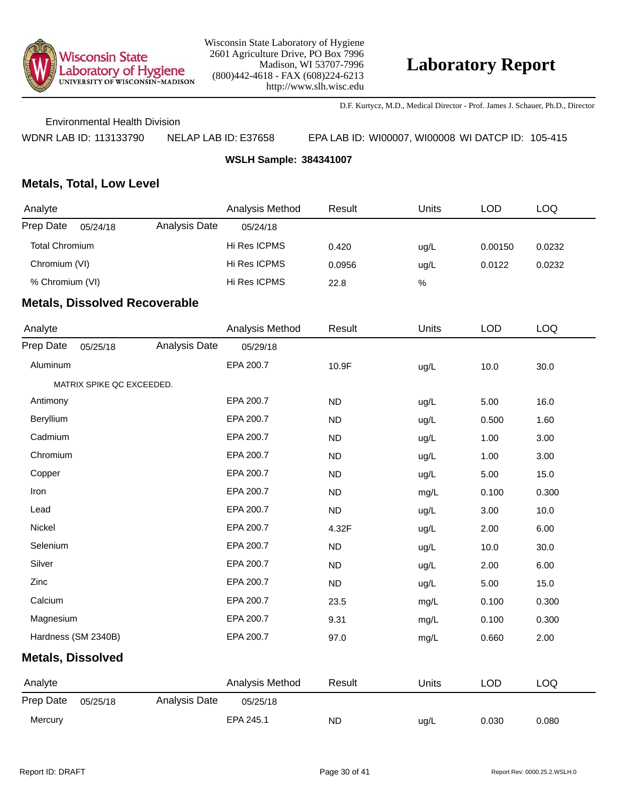

D.F. Kurtycz, M.D., Medical Director - Prof. James J. Schauer, Ph.D., Director

Environmental Health Division

WDNR LAB ID: 113133790 NELAP LAB ID: E37658 EPA LAB ID: WI00007, WI00008 WI DATCP ID: 105-415

**WSLH Sample: 384341007**

### **Metals, Total, Low Level**

| Analyte         |          |               | Analysis Method | Result | Units | LOD     | LOQ    |
|-----------------|----------|---------------|-----------------|--------|-------|---------|--------|
| Prep Date       | 05/24/18 | Analysis Date | 05/24/18        |        |       |         |        |
| Total Chromium  |          |               | Hi Res ICPMS    | 0.420  | uq/L  | 0.00150 | 0.0232 |
| Chromium (VI)   |          |               | Hi Res ICPMS    | 0.0956 | uq/L  | 0.0122  | 0.0232 |
| % Chromium (VI) |          |               | Hi Res ICPMS    | 22.8   | $\%$  |         |        |
|                 |          |               |                 |        |       |         |        |

| Analyte                  |                           |               | Analysis Method | Result    | Units | <b>LOD</b> | <b>LOQ</b> |
|--------------------------|---------------------------|---------------|-----------------|-----------|-------|------------|------------|
| Prep Date                | 05/25/18                  | Analysis Date | 05/29/18        |           |       |            |            |
| Aluminum                 |                           |               | EPA 200.7       | 10.9F     | ug/L  | 10.0       | 30.0       |
|                          | MATRIX SPIKE QC EXCEEDED. |               |                 |           |       |            |            |
| Antimony                 |                           |               | EPA 200.7       | ND        | ug/L  | 5.00       | 16.0       |
| Beryllium                |                           |               | EPA 200.7       | <b>ND</b> | ug/L  | 0.500      | 1.60       |
| Cadmium                  |                           |               | EPA 200.7       | <b>ND</b> | ug/L  | 1.00       | 3.00       |
| Chromium                 |                           |               | EPA 200.7       | <b>ND</b> | ug/L  | 1.00       | 3.00       |
| Copper                   |                           |               | EPA 200.7       | <b>ND</b> | ug/L  | 5.00       | 15.0       |
| Iron                     |                           |               | EPA 200.7       | <b>ND</b> | mg/L  | 0.100      | 0.300      |
| Lead                     |                           |               | EPA 200.7       | <b>ND</b> | ug/L  | 3.00       | 10.0       |
| Nickel                   |                           |               | EPA 200.7       | 4.32F     | ug/L  | 2.00       | 6.00       |
| Selenium                 |                           |               | EPA 200.7       | <b>ND</b> | ug/L  | 10.0       | 30.0       |
| Silver                   |                           |               | EPA 200.7       | <b>ND</b> | ug/L  | 2.00       | 6.00       |
| Zinc                     |                           |               | EPA 200.7       | <b>ND</b> | ug/L  | 5.00       | 15.0       |
| Calcium                  |                           |               | EPA 200.7       | 23.5      | mg/L  | 0.100      | 0.300      |
| Magnesium                |                           |               | EPA 200.7       | 9.31      | mg/L  | 0.100      | 0.300      |
| Hardness (SM 2340B)      |                           |               | EPA 200.7       | 97.0      | mg/L  | 0.660      | 2.00       |
| <b>Metals, Dissolved</b> |                           |               |                 |           |       |            |            |
| Analyte                  |                           |               | Analysis Method | Result    | Units | <b>LOD</b> | <b>LOQ</b> |
| Prep Date                | 05/25/18                  | Analysis Date | 05/25/18        |           |       |            |            |
| Mercury                  |                           |               | EPA 245.1       | <b>ND</b> | ug/L  | 0.030      | 0.080      |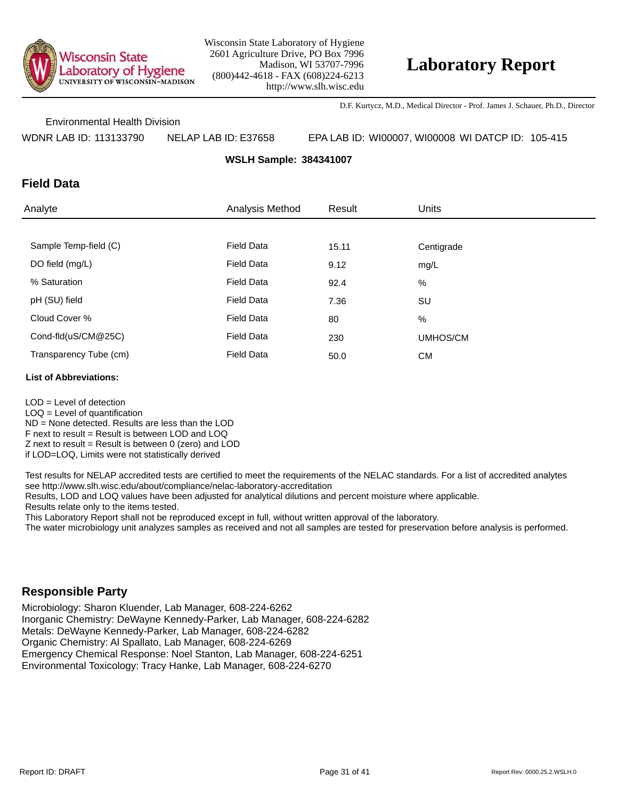

D.F. Kurtycz, M.D., Medical Director - Prof. James J. Schauer, Ph.D., Director

Environmental Health Division

WDNR LAB ID: 113133790 NELAP LAB ID: E37658 EPA LAB ID: WI00007, WI00008 WI DATCP ID: 105-415

**WSLH Sample: 384341007**

### **Field Data**

| Analyte                | Analysis Method   | Result | <b>Units</b> |
|------------------------|-------------------|--------|--------------|
|                        |                   |        |              |
| Sample Temp-field (C)  | <b>Field Data</b> | 15.11  | Centigrade   |
| DO field (mg/L)        | <b>Field Data</b> | 9.12   | mg/L         |
| % Saturation           | <b>Field Data</b> | 92.4   | %            |
| pH (SU) field          | <b>Field Data</b> | 7.36   | SU           |
| Cloud Cover %          | <b>Field Data</b> | 80     | %            |
| Cond-fld(uS/CM@25C)    | <b>Field Data</b> | 230    | UMHOS/CM     |
| Transparency Tube (cm) | <b>Field Data</b> | 50.0   | <b>CM</b>    |

#### **List of Abbreviations:**

LOD = Level of detection  $LOQ =$  Level of quantification ND = None detected. Results are less than the LOD F next to result = Result is between LOD and LOQ  $Z$  next to result = Result is between 0 (zero) and LOD if LOD=LOQ, Limits were not statistically derived

Test results for NELAP accredited tests are certified to meet the requirements of the NELAC standards. For a list of accredited analytes see http://www.slh.wisc.edu/about/compliance/nelac-laboratory-accreditation

Results, LOD and LOQ values have been adjusted for analytical dilutions and percent moisture where applicable.

Results relate only to the items tested.

This Laboratory Report shall not be reproduced except in full, without written approval of the laboratory.

The water microbiology unit analyzes samples as received and not all samples are tested for preservation before analysis is performed.

### **Responsible Party**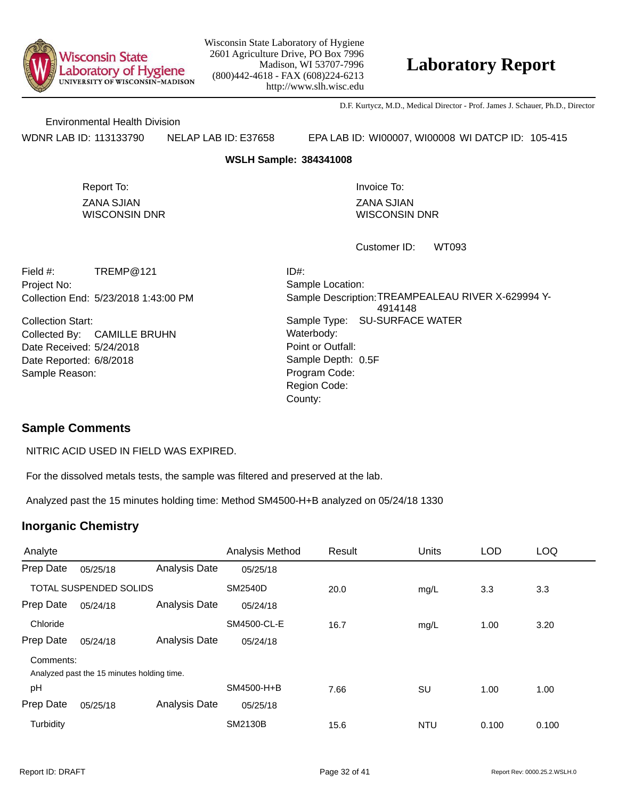

## **Laboratory Report**

D.F. Kurtycz, M.D., Medical Director - Prof. James J. Schauer, Ph.D., Director

Environmental Health Division

WDNR LAB ID: 113133790 NELAP LAB ID: E37658 EPA LAB ID: WI00007, WI00008 WI DATCP ID: 105-415

#### **WSLH Sample: 384341008**

ZANA SJIAN WISCONSIN DNR Report To: **Invoice To:** Invoice To:

ZANA SJIAN WISCONSIN DNR

WT093 Customer ID:

Collection End: 5/23/2018 1:43:00 PM Project No: Field #: TREMP@121

Date Received: 5/24/2018 Date Reported: 6/8/2018 **Contact Solution** Sample Depth: Collection Start: Collected By: CAMILLE BRUHN Sample Reason:

Point or Outfall: County: Sample Type: SU-SURFACE WATER Sample Location: Sample Description: TREAMPEALEAU RIVER X-629994 Y-4914148 ID#: Waterbody: Program Code: Region Code: Sample Depth: 0.5F

### **Sample Comments**

NITRIC ACID USED IN FIELD WAS EXPIRED.

For the dissolved metals tests, the sample was filtered and preserved at the lab.

Analyzed past the 15 minutes holding time: Method SM4500-H+B analyzed on 05/24/18 1330

| Analyte                       |                                            |               | Analysis Method | Result | <b>Units</b> | <b>LOD</b> | <b>LOQ</b> |
|-------------------------------|--------------------------------------------|---------------|-----------------|--------|--------------|------------|------------|
| Prep Date                     | 05/25/18                                   | Analysis Date | 05/25/18        |        |              |            |            |
| <b>TOTAL SUSPENDED SOLIDS</b> |                                            |               | <b>SM2540D</b>  | 20.0   | mg/L         | 3.3        | 3.3        |
| Prep Date                     | 05/24/18                                   | Analysis Date | 05/24/18        |        |              |            |            |
| Chloride                      |                                            |               | SM4500-CL-E     | 16.7   | mg/L         | 1.00       | 3.20       |
| Prep Date                     | 05/24/18                                   | Analysis Date | 05/24/18        |        |              |            |            |
| Comments:                     |                                            |               |                 |        |              |            |            |
|                               | Analyzed past the 15 minutes holding time. |               |                 |        |              |            |            |
| pH                            |                                            |               | SM4500-H+B      | 7.66   | SU           | 1.00       | 1.00       |
| Prep Date                     | 05/25/18                                   | Analysis Date | 05/25/18        |        |              |            |            |
| Turbidity                     |                                            |               | <b>SM2130B</b>  | 15.6   | <b>NTU</b>   | 0.100      | 0.100      |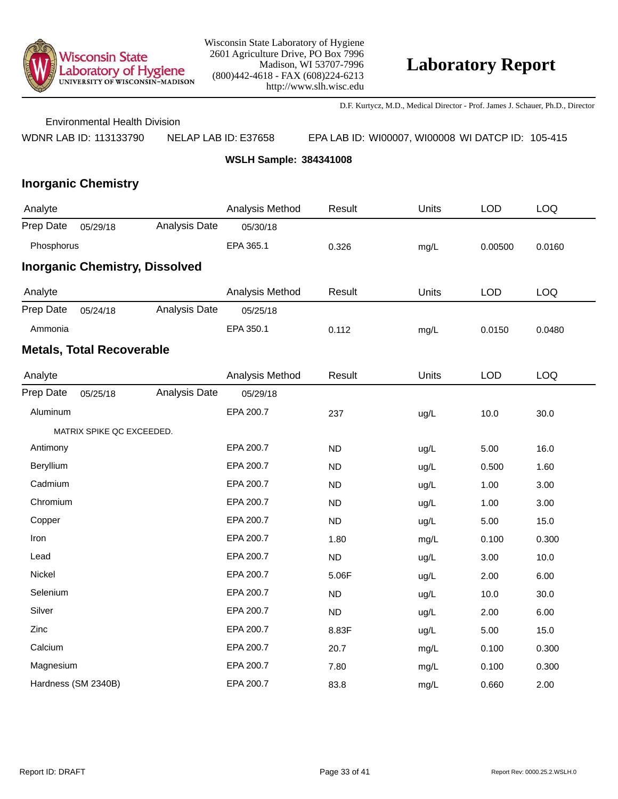

D.F. Kurtycz, M.D., Medical Director - Prof. James J. Schauer, Ph.D., Director

Environmental Health Division

WDNR LAB ID: 113133790 NELAP LAB ID: E37658 EPA LAB ID: WI00007, WI00008 WI DATCP ID: 105-415

**WSLH Sample: 384341008**

| Analyte    |                                  |                                       | Analysis Method | Result    | Units | <b>LOD</b> | LOQ        |
|------------|----------------------------------|---------------------------------------|-----------------|-----------|-------|------------|------------|
| Prep Date  | 05/29/18                         | Analysis Date                         | 05/30/18        |           |       |            |            |
| Phosphorus |                                  |                                       | EPA 365.1       | 0.326     | mg/L  | 0.00500    | 0.0160     |
|            |                                  | <b>Inorganic Chemistry, Dissolved</b> |                 |           |       |            |            |
| Analyte    |                                  |                                       | Analysis Method | Result    | Units | <b>LOD</b> | <b>LOQ</b> |
| Prep Date  | 05/24/18                         | Analysis Date                         | 05/25/18        |           |       |            |            |
| Ammonia    |                                  |                                       | EPA 350.1       | 0.112     | mg/L  | 0.0150     | 0.0480     |
|            | <b>Metals, Total Recoverable</b> |                                       |                 |           |       |            |            |
| Analyte    |                                  |                                       | Analysis Method | Result    | Units | <b>LOD</b> | <b>LOQ</b> |
| Prep Date  | 05/25/18                         | Analysis Date                         | 05/29/18        |           |       |            |            |
| Aluminum   |                                  |                                       | EPA 200.7       | 237       | ug/L  | 10.0       | 30.0       |
|            | MATRIX SPIKE QC EXCEEDED.        |                                       |                 |           |       |            |            |
| Antimony   |                                  |                                       | EPA 200.7       | <b>ND</b> | ug/L  | 5.00       | 16.0       |
| Beryllium  |                                  |                                       | EPA 200.7       | <b>ND</b> | ug/L  | 0.500      | 1.60       |
| Cadmium    |                                  |                                       | EPA 200.7       | <b>ND</b> | ug/L  | 1.00       | 3.00       |
| Chromium   |                                  |                                       | EPA 200.7       | <b>ND</b> | ug/L  | 1.00       | 3.00       |
| Copper     |                                  |                                       | EPA 200.7       | <b>ND</b> | ug/L  | 5.00       | 15.0       |
| Iron       |                                  |                                       | EPA 200.7       | 1.80      | mg/L  | 0.100      | 0.300      |
| Lead       |                                  |                                       | EPA 200.7       | <b>ND</b> | ug/L  | 3.00       | 10.0       |
| Nickel     |                                  |                                       | EPA 200.7       | 5.06F     | ug/L  | 2.00       | 6.00       |
| Selenium   |                                  |                                       | EPA 200.7       | <b>ND</b> | ug/L  | 10.0       | 30.0       |
| Silver     |                                  |                                       | EPA 200.7       | <b>ND</b> | ug/L  | 2.00       | 6.00       |
| Zinc       |                                  |                                       | EPA 200.7       | 8.83F     | ug/L  | 5.00       | 15.0       |
| Calcium    |                                  |                                       | EPA 200.7       | 20.7      | mg/L  | 0.100      | 0.300      |
| Magnesium  |                                  |                                       | EPA 200.7       | 7.80      | mg/L  | 0.100      | 0.300      |
|            | Hardness (SM 2340B)              |                                       | EPA 200.7       | 83.8      | mg/L  | 0.660      | 2.00       |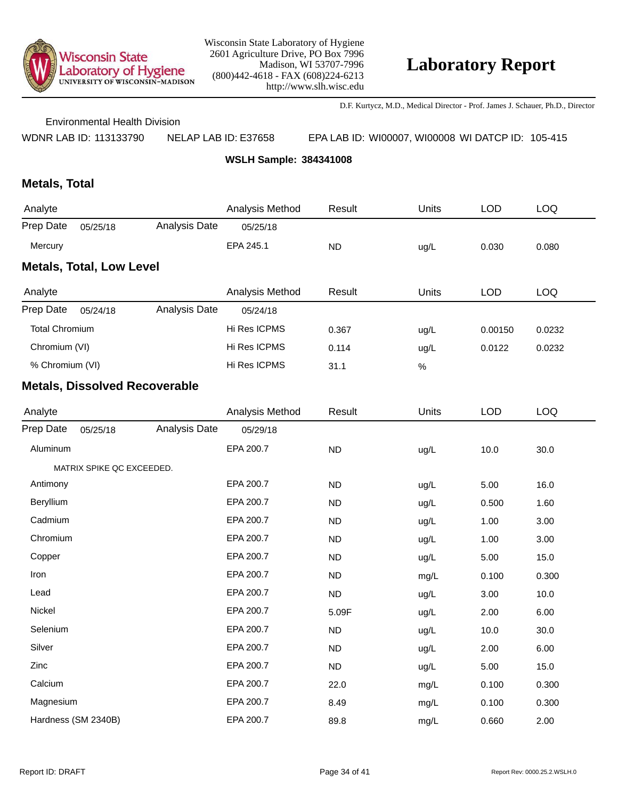

D.F. Kurtycz, M.D., Medical Director - Prof. James J. Schauer, Ph.D., Director

Environmental Health Division

WDNR LAB ID: 113133790 NELAP LAB ID: E37658 EPA LAB ID: WI00007, WI00008 WI DATCP ID: 105-415

**WSLH Sample: 384341008**

## **Metals, Total**

| Analyte                         |          |               | Analysis Method | Result    | Units | LOD   | LOQ   |  |  |  |  |
|---------------------------------|----------|---------------|-----------------|-----------|-------|-------|-------|--|--|--|--|
| Prep Date                       | 05/25/18 | Analysis Date | 05/25/18        |           |       |       |       |  |  |  |  |
| Mercury                         |          |               | EPA 245.1       | <b>ND</b> | ug/L  | 0.030 | 0.080 |  |  |  |  |
| <b>Metals, Total, Low Level</b> |          |               |                 |           |       |       |       |  |  |  |  |

| Analyte               |          |               | Analysis Method | Result | Units  | <b>LOD</b> | LOQ    |
|-----------------------|----------|---------------|-----------------|--------|--------|------------|--------|
| Prep Date             | 05/24/18 | Analysis Date | 05/24/18        |        |        |            |        |
| <b>Total Chromium</b> |          |               | Hi Res ICPMS    | 0.367  | ug/L   | 0.00150    | 0.0232 |
| Chromium (VI)         |          | Hi Res ICPMS  | 0.114           | ug/L   | 0.0122 | 0.0232     |        |
| % Chromium (VI)       |          |               | Hi Res ICPMS    | 31.1   | %      |            |        |

| Analyte   |                           |               | Analysis Method | Result    | <b>Units</b> | <b>LOD</b> | LOQ   |
|-----------|---------------------------|---------------|-----------------|-----------|--------------|------------|-------|
| Prep Date | 05/25/18                  | Analysis Date | 05/29/18        |           |              |            |       |
| Aluminum  |                           |               | EPA 200.7       | ND        | ug/L         | 10.0       | 30.0  |
|           | MATRIX SPIKE QC EXCEEDED. |               |                 |           |              |            |       |
| Antimony  |                           |               | EPA 200.7       | <b>ND</b> | ug/L         | 5.00       | 16.0  |
| Beryllium |                           |               | EPA 200.7       | ND        | ug/L         | 0.500      | 1.60  |
| Cadmium   |                           |               | EPA 200.7       | <b>ND</b> | ug/L         | 1.00       | 3.00  |
| Chromium  |                           |               | EPA 200.7       | <b>ND</b> | ug/L         | 1.00       | 3.00  |
| Copper    |                           |               | EPA 200.7       | <b>ND</b> | ug/L         | 5.00       | 15.0  |
| Iron      |                           |               | EPA 200.7       | <b>ND</b> | mg/L         | 0.100      | 0.300 |
| Lead      |                           |               | EPA 200.7       | ND        | ug/L         | 3.00       | 10.0  |
| Nickel    |                           |               | EPA 200.7       | 5.09F     | ug/L         | 2.00       | 6.00  |
| Selenium  |                           |               | EPA 200.7       | ND        | ug/L         | 10.0       | 30.0  |
| Silver    |                           |               | EPA 200.7       | <b>ND</b> | ug/L         | 2.00       | 6.00  |
| Zinc      |                           |               | EPA 200.7       | <b>ND</b> | ug/L         | 5.00       | 15.0  |
| Calcium   |                           |               | EPA 200.7       | 22.0      | mg/L         | 0.100      | 0.300 |
| Magnesium |                           |               | EPA 200.7       | 8.49      | mg/L         | 0.100      | 0.300 |
|           | Hardness (SM 2340B)       |               | EPA 200.7       | 89.8      | mg/L         | 0.660      | 2.00  |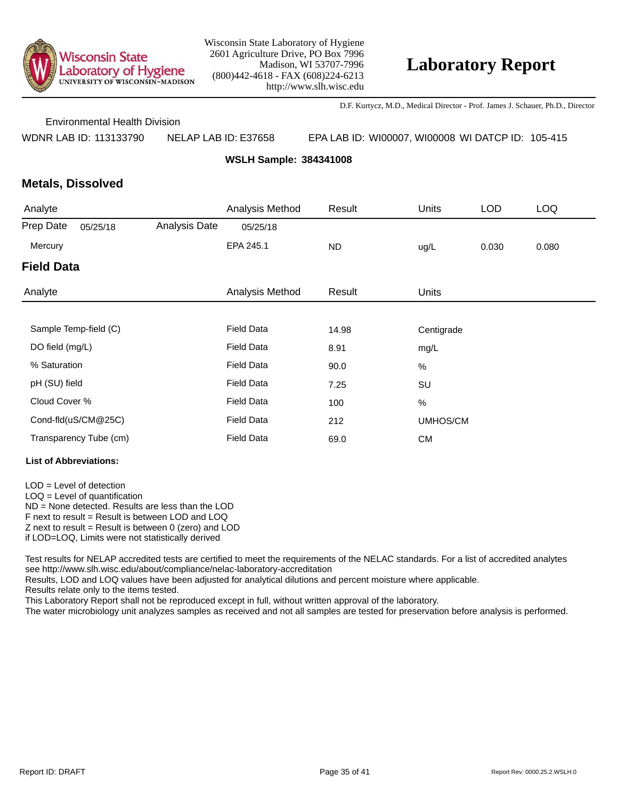

D.F. Kurtycz, M.D., Medical Director - Prof. James J. Schauer, Ph.D., Director

Environmental Health Division

WDNR LAB ID: 113133790 NELAP LAB ID: E37658 EPA LAB ID: WI00007, WI00008 WI DATCP ID: 105-415

**WSLH Sample: 384341008**

### **Metals, Dissolved**

| Analyte           |                        |               | Analysis Method   | Result    | <b>Units</b> | <b>LOD</b> | <b>LOQ</b> |
|-------------------|------------------------|---------------|-------------------|-----------|--------------|------------|------------|
| Prep Date         | 05/25/18               | Analysis Date | 05/25/18          |           |              |            |            |
| Mercury           |                        |               | EPA 245.1         | <b>ND</b> | ug/L         | 0.030      | 0.080      |
| <b>Field Data</b> |                        |               |                   |           |              |            |            |
| Analyte           |                        |               | Analysis Method   | Result    | <b>Units</b> |            |            |
|                   |                        |               |                   |           |              |            |            |
|                   | Sample Temp-field (C)  |               | <b>Field Data</b> | 14.98     | Centigrade   |            |            |
| DO field (mg/L)   |                        |               | <b>Field Data</b> | 8.91      | mg/L         |            |            |
| % Saturation      |                        |               | <b>Field Data</b> | 90.0      | $\%$         |            |            |
| pH (SU) field     |                        |               | <b>Field Data</b> | 7.25      | SU           |            |            |
| Cloud Cover %     |                        |               | <b>Field Data</b> | 100       | $\%$         |            |            |
|                   | Cond-fld(uS/CM@25C)    |               | <b>Field Data</b> | 212       | UMHOS/CM     |            |            |
|                   | Transparency Tube (cm) |               | <b>Field Data</b> | 69.0      | <b>CM</b>    |            |            |

#### **List of Abbreviations:**

LOD = Level of detection LOQ = Level of quantification ND = None detected. Results are less than the LOD F next to result = Result is between LOD and LOQ  $Z$  next to result = Result is between 0 (zero) and LOD if LOD=LOQ, Limits were not statistically derived

Test results for NELAP accredited tests are certified to meet the requirements of the NELAC standards. For a list of accredited analytes see http://www.slh.wisc.edu/about/compliance/nelac-laboratory-accreditation

Results, LOD and LOQ values have been adjusted for analytical dilutions and percent moisture where applicable.

Results relate only to the items tested.

This Laboratory Report shall not be reproduced except in full, without written approval of the laboratory.

The water microbiology unit analyzes samples as received and not all samples are tested for preservation before analysis is performed.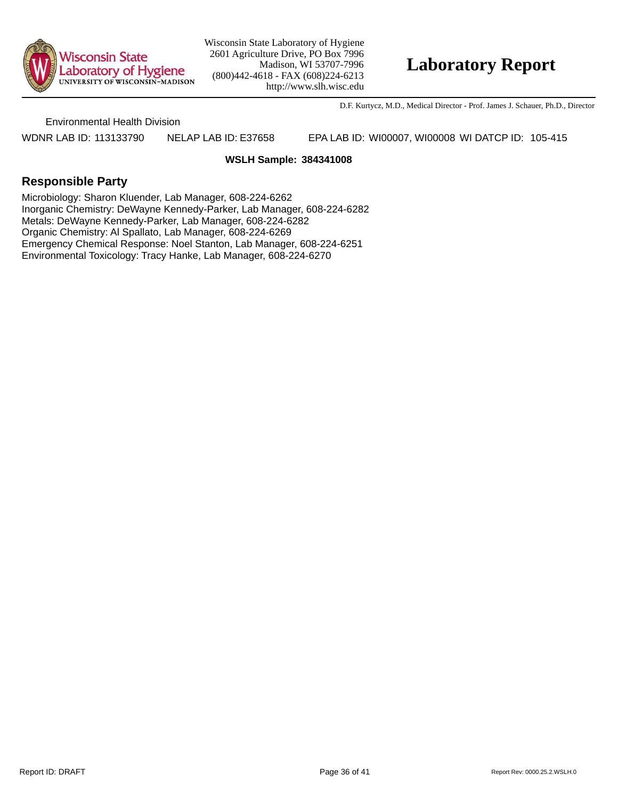

## **Laboratory Report**

D.F. Kurtycz, M.D., Medical Director - Prof. James J. Schauer, Ph.D., Director

Environmental Health Division

WDNR LAB ID: 113133790 NELAP LAB ID: E37658 EPA LAB ID: WI00007, WI00008 WI DATCP ID: 105-415

#### **WSLH Sample: 384341008**

### **Responsible Party**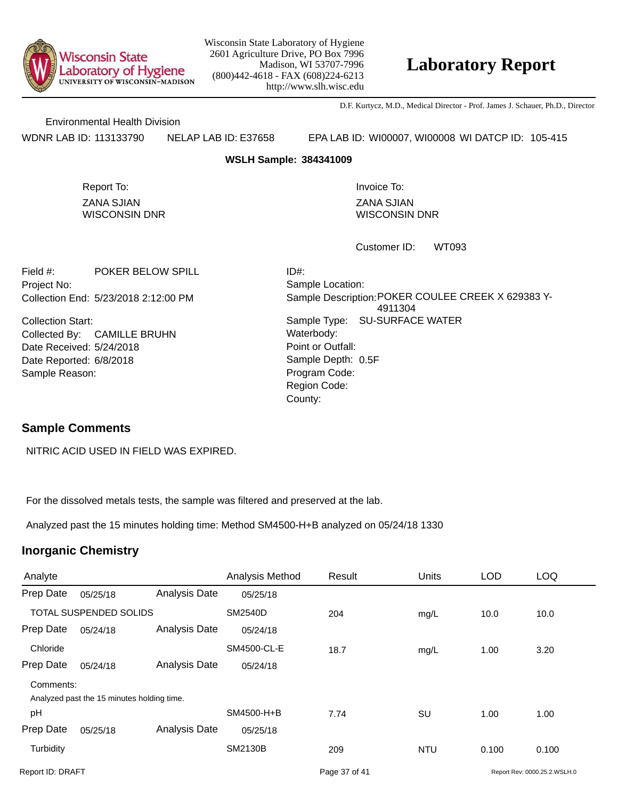

## **Laboratory Report**

D.F. Kurtycz, M.D., Medical Director - Prof. James J. Schauer, Ph.D., Director

Environmental Health Division

WDNR LAB ID: 113133790 NELAP LAB ID: E37658 EPA LAB ID: WI00007, WI00008 WI DATCP ID: 105-415

#### **WSLH Sample: 384341009**

ZANA SJIAN WISCONSIN DNR Report To: **Invoice To:** Invoice To:

ZANA SJIAN WISCONSIN DNR

WT093 Customer ID:

Collection End: 5/23/2018 2:12:00 PM Project No: Field #: POKER BELOW SPILL

Date Received: 5/24/2018 Date Reported: 6/8/2018 **Contact Solution** Sample Depth: Collection Start: Collected By: CAMILLE BRUHN Sample Reason:

Point or Outfall: County: Sample Type: SU-SURFACE WATER Sample Location: Sample Description: POKER COULEE CREEK X 629383 Y-4911304 ID#: Waterbody: Program Code: Region Code: Sample Depth: 0.5F

### **Sample Comments**

NITRIC ACID USED IN FIELD WAS EXPIRED.

For the dissolved metals tests, the sample was filtered and preserved at the lab.

Analyzed past the 15 minutes holding time: Method SM4500-H+B analyzed on 05/24/18 1330

| Analyte                       |                                            |                      | Analysis Method | Result        | Units      | <b>LOD</b> | <b>LOQ</b>                   |
|-------------------------------|--------------------------------------------|----------------------|-----------------|---------------|------------|------------|------------------------------|
| Prep Date                     | 05/25/18                                   | Analysis Date        | 05/25/18        |               |            |            |                              |
| <b>TOTAL SUSPENDED SOLIDS</b> |                                            |                      | <b>SM2540D</b>  | 204           | mg/L       | 10.0       | 10.0                         |
| Prep Date                     | 05/24/18                                   | Analysis Date        | 05/24/18        |               |            |            |                              |
| Chloride                      |                                            |                      | SM4500-CL-E     | 18.7          | mg/L       | 1.00       | 3.20                         |
| Prep Date                     | 05/24/18                                   | <b>Analysis Date</b> | 05/24/18        |               |            |            |                              |
| Comments:                     | Analyzed past the 15 minutes holding time. |                      |                 |               |            |            |                              |
| рH                            |                                            |                      | SM4500-H+B      | 7.74          | SU         | 1.00       | 1.00                         |
| Prep Date                     | 05/25/18                                   | Analysis Date        | 05/25/18        |               |            |            |                              |
| Turbidity                     |                                            |                      | SM2130B         | 209           | <b>NTU</b> | 0.100      | 0.100                        |
| Report ID: DRAFT              |                                            |                      |                 | Page 37 of 41 |            |            | Report Rev: 0000.25.2.WSLH.0 |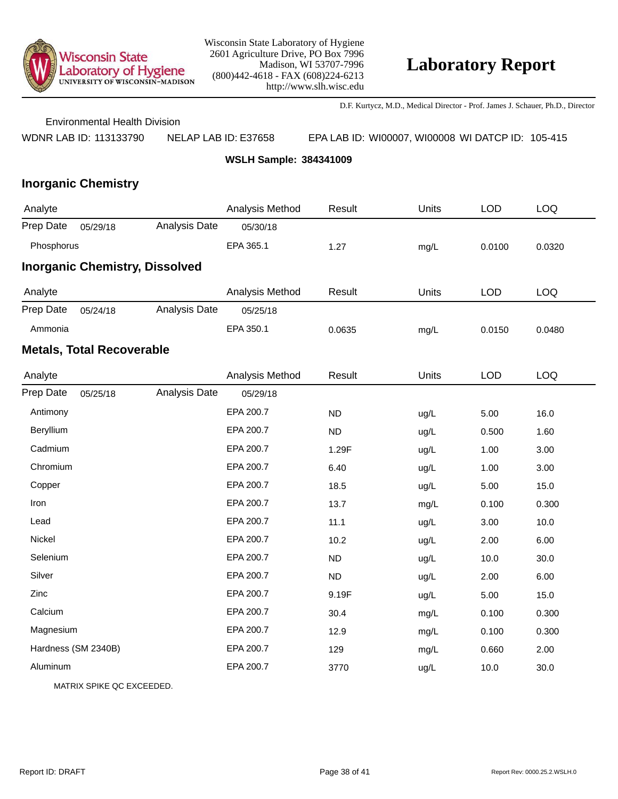

D.F. Kurtycz, M.D., Medical Director - Prof. James J. Schauer, Ph.D., Director

Environmental Health Division

WDNR LAB ID: 113133790 NELAP LAB ID: E37658 EPA LAB ID: WI00007, WI00008 WI DATCP ID: 105-415

**WSLH Sample: 384341009**

## **Inorganic Chemistry**

| Analyte    |                                  |                                       | Analysis Method | Result    | Units | <b>LOD</b> | LOQ        |
|------------|----------------------------------|---------------------------------------|-----------------|-----------|-------|------------|------------|
| Prep Date  | 05/29/18                         | Analysis Date                         | 05/30/18        |           |       |            |            |
| Phosphorus |                                  |                                       | EPA 365.1       | 1.27      | mg/L  | 0.0100     | 0.0320     |
|            |                                  | <b>Inorganic Chemistry, Dissolved</b> |                 |           |       |            |            |
| Analyte    |                                  |                                       | Analysis Method | Result    | Units | <b>LOD</b> | <b>LOQ</b> |
| Prep Date  | 05/24/18                         | Analysis Date                         | 05/25/18        |           |       |            |            |
| Ammonia    |                                  |                                       | EPA 350.1       | 0.0635    | mg/L  | 0.0150     | 0.0480     |
|            | <b>Metals, Total Recoverable</b> |                                       |                 |           |       |            |            |
| Analyte    |                                  |                                       | Analysis Method | Result    | Units | <b>LOD</b> | LOQ        |
| Prep Date  | 05/25/18                         | Analysis Date                         | 05/29/18        |           |       |            |            |
| Antimony   |                                  |                                       | EPA 200.7       | <b>ND</b> | ug/L  | 5.00       | 16.0       |
| Beryllium  |                                  |                                       | EPA 200.7       | <b>ND</b> | ug/L  | 0.500      | 1.60       |
| Cadmium    |                                  |                                       | EPA 200.7       | 1.29F     | ug/L  | 1.00       | 3.00       |
| Chromium   |                                  |                                       | EPA 200.7       | 6.40      | ug/L  | 1.00       | 3.00       |
| Copper     |                                  |                                       | EPA 200.7       | 18.5      | ug/L  | 5.00       | 15.0       |
| Iron       |                                  |                                       | EPA 200.7       | 13.7      | mg/L  | 0.100      | 0.300      |
| Lead       |                                  |                                       | EPA 200.7       | 11.1      | ug/L  | 3.00       | 10.0       |
| Nickel     |                                  |                                       | EPA 200.7       | 10.2      | ug/L  | 2.00       | 6.00       |
| Selenium   |                                  |                                       | EPA 200.7       | <b>ND</b> | ug/L  | 10.0       | 30.0       |
| Silver     |                                  |                                       | EPA 200.7       | <b>ND</b> | ug/L  | 2.00       | 6.00       |
| Zinc       |                                  |                                       | EPA 200.7       | 9.19F     | ug/L  | 5.00       | 15.0       |
| Calcium    |                                  |                                       | EPA 200.7       | 30.4      | mg/L  | 0.100      | 0.300      |
| Magnesium  |                                  |                                       | EPA 200.7       | 12.9      | mg/L  | 0.100      | 0.300      |
|            | Hardness (SM 2340B)              |                                       | EPA 200.7       | 129       | mg/L  | 0.660      | 2.00       |
| Aluminum   |                                  |                                       | EPA 200.7       | 3770      | ug/L  | 10.0       | 30.0       |
|            |                                  |                                       |                 |           |       |            |            |

MATRIX SPIKE QC EXCEEDED.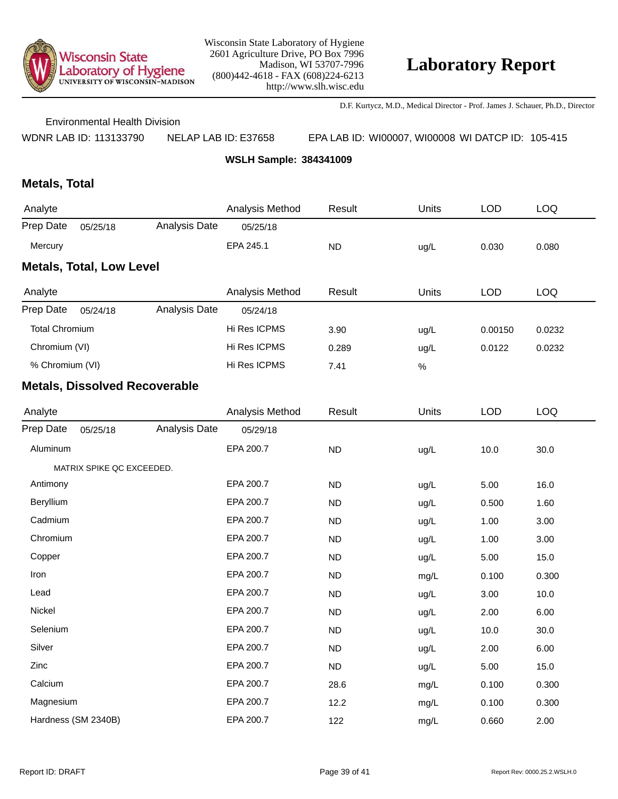

D.F. Kurtycz, M.D., Medical Director - Prof. James J. Schauer, Ph.D., Director

Environmental Health Division

WDNR LAB ID: 113133790 NELAP LAB ID: E37658 EPA LAB ID: WI00007, WI00008 WI DATCP ID: 105-415

**WSLH Sample: 384341009**

## **Metals, Total**

| Analyte                         |          |               | Analysis Method | Result    | Units | LOD   | LOQ   |  |
|---------------------------------|----------|---------------|-----------------|-----------|-------|-------|-------|--|
| Prep Date                       | 05/25/18 | Analysis Date | 05/25/18        |           |       |       |       |  |
| Mercury                         |          |               | EPA 245.1       | <b>ND</b> | ug/L  | 0.030 | 0.080 |  |
| <b>Metals, Total, Low Level</b> |          |               |                 |           |       |       |       |  |

| Analyte               |          |               | Analysis Method | Result | Units   | LOD    | LOQ |
|-----------------------|----------|---------------|-----------------|--------|---------|--------|-----|
| Prep Date             | 05/24/18 | Analysis Date | 05/24/18        |        |         |        |     |
| <b>Total Chromium</b> |          | Hi Res ICPMS  | 3.90            | ug/L   | 0.00150 | 0.0232 |     |
| Chromium (VI)         |          | Hi Res ICPMS  | 0.289           | ug/L   | 0.0122  | 0.0232 |     |
| % Chromium (VI)       |          | Hi Res ICPMS  | 7.41            | %      |         |        |     |

| Analyte   |                           |               | Analysis Method | Result    | Units | <b>LOD</b> | <b>LOQ</b> |
|-----------|---------------------------|---------------|-----------------|-----------|-------|------------|------------|
| Prep Date | 05/25/18                  | Analysis Date | 05/29/18        |           |       |            |            |
| Aluminum  |                           |               | EPA 200.7       | ND        | ug/L  | 10.0       | 30.0       |
|           | MATRIX SPIKE QC EXCEEDED. |               |                 |           |       |            |            |
| Antimony  |                           |               | EPA 200.7       | <b>ND</b> | ug/L  | 5.00       | 16.0       |
| Beryllium |                           |               | EPA 200.7       | <b>ND</b> | ug/L  | 0.500      | 1.60       |
| Cadmium   |                           |               | EPA 200.7       | <b>ND</b> | ug/L  | 1.00       | 3.00       |
| Chromium  |                           |               | EPA 200.7       | <b>ND</b> | ug/L  | 1.00       | 3.00       |
| Copper    |                           |               | EPA 200.7       | <b>ND</b> | ug/L  | 5.00       | 15.0       |
| Iron      |                           |               | EPA 200.7       | <b>ND</b> | mg/L  | 0.100      | 0.300      |
| Lead      |                           |               | EPA 200.7       | <b>ND</b> | ug/L  | 3.00       | 10.0       |
| Nickel    |                           |               | EPA 200.7       | <b>ND</b> | ug/L  | 2.00       | 6.00       |
| Selenium  |                           |               | EPA 200.7       | <b>ND</b> | ug/L  | 10.0       | 30.0       |
| Silver    |                           |               | EPA 200.7       | <b>ND</b> | ug/L  | 2.00       | 6.00       |
| Zinc      |                           |               | EPA 200.7       | <b>ND</b> | ug/L  | 5.00       | 15.0       |
| Calcium   |                           |               | EPA 200.7       | 28.6      | mg/L  | 0.100      | 0.300      |
| Magnesium |                           |               | EPA 200.7       | 12.2      | mg/L  | 0.100      | 0.300      |
|           | Hardness (SM 2340B)       |               | EPA 200.7       | 122       | mg/L  | 0.660      | 2.00       |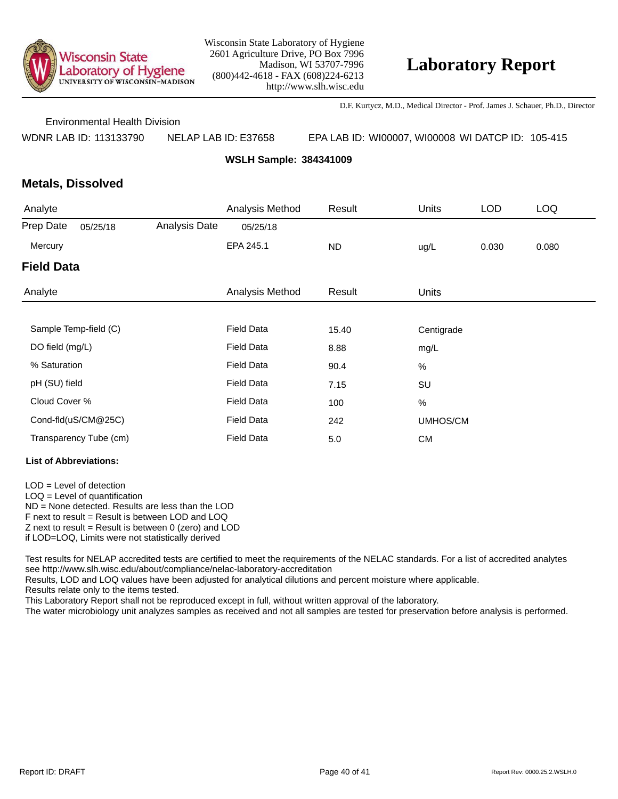

D.F. Kurtycz, M.D., Medical Director - Prof. James J. Schauer, Ph.D., Director

Environmental Health Division

WDNR LAB ID: 113133790 NELAP LAB ID: E37658 EPA LAB ID: WI00007, WI00008 WI DATCP ID: 105-415

**WSLH Sample: 384341009**

### **Metals, Dissolved**

| Analyte                |          |                   | Analysis Method   | Result     | <b>Units</b> | <b>LOD</b> | <b>LOQ</b> |  |
|------------------------|----------|-------------------|-------------------|------------|--------------|------------|------------|--|
| Prep Date              | 05/25/18 | Analysis Date     | 05/25/18          |            |              |            |            |  |
| Mercury                |          |                   | EPA 245.1         | <b>ND</b>  | ug/L         | 0.030      | 0.080      |  |
| <b>Field Data</b>      |          |                   |                   |            |              |            |            |  |
| Analyte                |          |                   | Analysis Method   | Result     | <b>Units</b> |            |            |  |
|                        |          |                   |                   |            |              |            |            |  |
| Sample Temp-field (C)  |          | <b>Field Data</b> | 15.40             | Centigrade |              |            |            |  |
| DO field (mg/L)        |          |                   | <b>Field Data</b> | 8.88       | mg/L         |            |            |  |
| % Saturation           |          |                   | <b>Field Data</b> | 90.4       | $\%$         |            |            |  |
| pH (SU) field          |          |                   | <b>Field Data</b> | 7.15       | SU           |            |            |  |
| Cloud Cover %          |          |                   | <b>Field Data</b> | 100        | $\%$         |            |            |  |
| Cond-fld(uS/CM@25C)    |          |                   | <b>Field Data</b> | 242        | UMHOS/CM     |            |            |  |
| Transparency Tube (cm) |          |                   | <b>Field Data</b> | $5.0$      | <b>CM</b>    |            |            |  |

#### **List of Abbreviations:**

LOD = Level of detection LOQ = Level of quantification ND = None detected. Results are less than the LOD F next to result = Result is between LOD and LOQ  $Z$  next to result = Result is between 0 (zero) and LOD

if LOD=LOQ, Limits were not statistically derived

Test results for NELAP accredited tests are certified to meet the requirements of the NELAC standards. For a list of accredited analytes see http://www.slh.wisc.edu/about/compliance/nelac-laboratory-accreditation

Results, LOD and LOQ values have been adjusted for analytical dilutions and percent moisture where applicable.

Results relate only to the items tested.

This Laboratory Report shall not be reproduced except in full, without written approval of the laboratory.

The water microbiology unit analyzes samples as received and not all samples are tested for preservation before analysis is performed.